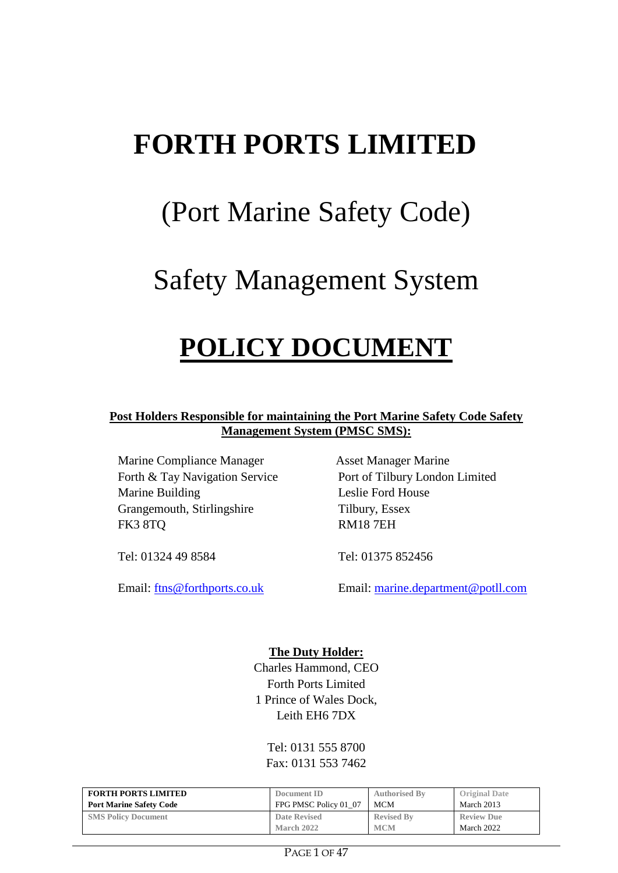# **FORTH PORTS LIMITED**

# (Port Marine Safety Code)

# Safety Management System

# **POLICY DOCUMENT**

**Post Holders Responsible for maintaining the Port Marine Safety Code Safety Management System (PMSC SMS):**

Marine Compliance Manager Asset Manager Marine Forth & Tay Navigation Service Port of Tilbury London Limited Marine Building Leslie Ford House Grangemouth, Stirlingshire Tilbury, Essex FK3 8TQ RM18 7EH

Tel: 01324 49 8584 Tel: 01375 852456

Email: [ftns@forthports.co.uk](mailto:ftns@forthports.co.uk) Email: [marine.department@potll.com](mailto:marine.department@potll.com)

#### **The Duty Holder:**

Charles Hammond, CEO Forth Ports Limited 1 Prince of Wales Dock, Leith EH6 7DX

Tel: 0131 555 8700 Fax: 0131 553 7462

| <b>FORTH PORTS LIMITED</b>     | Document ID           | <b>Authorised By</b> | <b>Original Date</b> |
|--------------------------------|-----------------------|----------------------|----------------------|
| <b>Port Marine Safety Code</b> | FPG PMSC Policy 01 07 | <b>MCM</b>           | March 2013           |
| <b>SMS Policy Document</b>     | Date Revised          | <b>Revised By</b>    | <b>Review Due</b>    |
|                                | March 2022            | <b>MCM</b>           | March 2022           |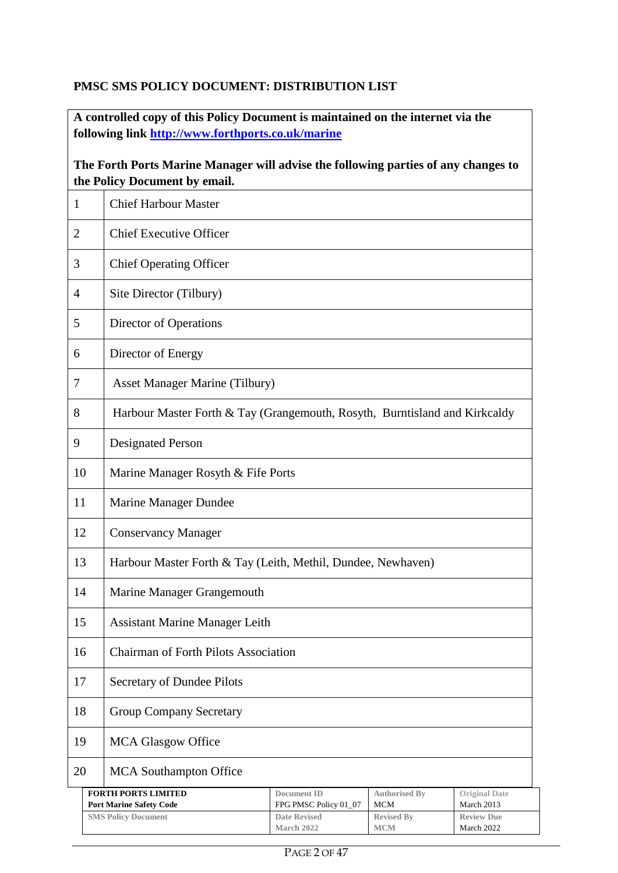### **PMSC SMS POLICY DOCUMENT: DISTRIBUTION LIST**

**A controlled copy of this Policy Document is maintained on the internet via the following link http://www.forthports.co.uk/marine**

### **The Forth Ports Marine Manager will advise the following parties of any changes to the Policy Document by email.**

| 1              | <b>Chief Harbour Master</b>                                                |                                          |                                 |                                 |  |
|----------------|----------------------------------------------------------------------------|------------------------------------------|---------------------------------|---------------------------------|--|
| $\overline{2}$ | <b>Chief Executive Officer</b>                                             |                                          |                                 |                                 |  |
| 3              | <b>Chief Operating Officer</b>                                             |                                          |                                 |                                 |  |
| $\overline{4}$ | Site Director (Tilbury)                                                    |                                          |                                 |                                 |  |
| 5              | Director of Operations                                                     |                                          |                                 |                                 |  |
| 6              | Director of Energy                                                         |                                          |                                 |                                 |  |
| 7              | <b>Asset Manager Marine (Tilbury)</b>                                      |                                          |                                 |                                 |  |
| 8              | Harbour Master Forth & Tay (Grangemouth, Rosyth, Burntisland and Kirkcaldy |                                          |                                 |                                 |  |
| 9              | <b>Designated Person</b>                                                   |                                          |                                 |                                 |  |
| 10             | Marine Manager Rosyth & Fife Ports                                         |                                          |                                 |                                 |  |
| 11             | Marine Manager Dundee                                                      |                                          |                                 |                                 |  |
| 12             | <b>Conservancy Manager</b>                                                 |                                          |                                 |                                 |  |
| 13             | Harbour Master Forth & Tay (Leith, Methil, Dundee, Newhaven)               |                                          |                                 |                                 |  |
| 14             | Marine Manager Grangemouth                                                 |                                          |                                 |                                 |  |
| 15             | <b>Assistant Marine Manager Leith</b>                                      |                                          |                                 |                                 |  |
| 16             | <b>Chairman of Forth Pilots Association</b>                                |                                          |                                 |                                 |  |
| 17             | Secretary of Dundee Pilots                                                 |                                          |                                 |                                 |  |
| 18             | <b>Group Company Secretary</b>                                             |                                          |                                 |                                 |  |
| 19             | <b>MCA Glasgow Office</b>                                                  |                                          |                                 |                                 |  |
| 20             | <b>MCA</b> Southampton Office                                              |                                          |                                 |                                 |  |
|                | <b>FORTH PORTS LIMITED</b>                                                 | <b>Document ID</b>                       | <b>Authorised By</b>            | <b>Original Date</b>            |  |
|                | <b>Port Marine Safety Code</b>                                             | FPG PMSC Policy 01_07                    | MCM                             | March 2013                      |  |
|                | <b>SMS Policy Document</b>                                                 | <b>Date Revised</b><br><b>March 2022</b> | <b>Revised By</b><br><b>MCM</b> | <b>Review Due</b><br>March 2022 |  |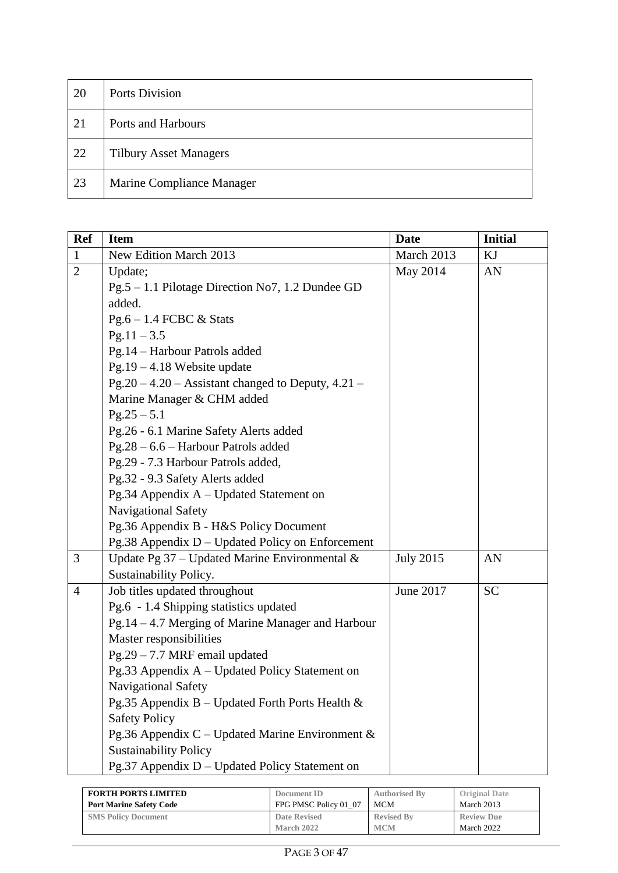| 20 | <b>Ports Division</b>         |
|----|-------------------------------|
| 21 | Ports and Harbours            |
| 22 | <b>Tilbury Asset Managers</b> |
| 23 | Marine Compliance Manager     |

| <b>Ref</b>     | <b>Item</b>                                          | <b>Date</b>      | <b>Initial</b> |
|----------------|------------------------------------------------------|------------------|----------------|
| $\mathbf{1}$   | New Edition March 2013                               | March 2013       | KJ             |
| $\overline{2}$ | Update;                                              | May 2014         | AN             |
|                | Pg.5 – 1.1 Pilotage Direction No7, 1.2 Dundee GD     |                  |                |
|                | added.                                               |                  |                |
|                | $Pg.6 - 1.4$ FCBC & Stats                            |                  |                |
|                | $Pg.11 - 3.5$                                        |                  |                |
|                | Pg.14 - Harbour Patrols added                        |                  |                |
|                | $Pg.19 - 4.18$ Website update                        |                  |                |
|                | $Pg.20 - 4.20 - Assistant changed to Deputy, 4.21 -$ |                  |                |
|                | Marine Manager & CHM added                           |                  |                |
|                | $Pg.25 - 5.1$                                        |                  |                |
|                | Pg.26 - 6.1 Marine Safety Alerts added               |                  |                |
|                | Pg.28 - 6.6 - Harbour Patrols added                  |                  |                |
|                | Pg.29 - 7.3 Harbour Patrols added,                   |                  |                |
|                | Pg.32 - 9.3 Safety Alerts added                      |                  |                |
|                | Pg.34 Appendix A - Updated Statement on              |                  |                |
|                | Navigational Safety                                  |                  |                |
|                | Pg.36 Appendix B - H&S Policy Document               |                  |                |
|                | Pg.38 Appendix D - Updated Policy on Enforcement     |                  |                |
| 3              | Update Pg $37$ – Updated Marine Environmental &      | <b>July 2015</b> | AN             |
|                | Sustainability Policy.                               |                  |                |
| $\overline{4}$ | Job titles updated throughout                        | June 2017        | <b>SC</b>      |
|                | Pg.6 - 1.4 Shipping statistics updated               |                  |                |
|                | Pg.14 - 4.7 Merging of Marine Manager and Harbour    |                  |                |
|                | Master responsibilities                              |                  |                |
|                | $Pg.29 - 7.7 MRF$ email updated                      |                  |                |
|                | Pg.33 Appendix A - Updated Policy Statement on       |                  |                |
|                | Navigational Safety                                  |                  |                |
|                | Pg.35 Appendix B – Updated Forth Ports Health $\&$   |                  |                |
|                | <b>Safety Policy</b>                                 |                  |                |
|                | Pg.36 Appendix C - Updated Marine Environment &      |                  |                |
|                | <b>Sustainability Policy</b>                         |                  |                |
|                | Pg.37 Appendix D - Updated Policy Statement on       |                  |                |

| <b>FORTH PORTS LIMITED</b>     | Document ID           | <b>Authorised By</b> | <b>Original Date</b> |
|--------------------------------|-----------------------|----------------------|----------------------|
| <b>Port Marine Safety Code</b> | FPG PMSC Policy 01 07 | <b>MCM</b>           | March 2013           |
| <b>SMS Policy Document</b>     | Date Revised          | <b>Revised By</b>    | <b>Review Due</b>    |
|                                | <b>March 2022</b>     | <b>MCM</b>           | March 2022           |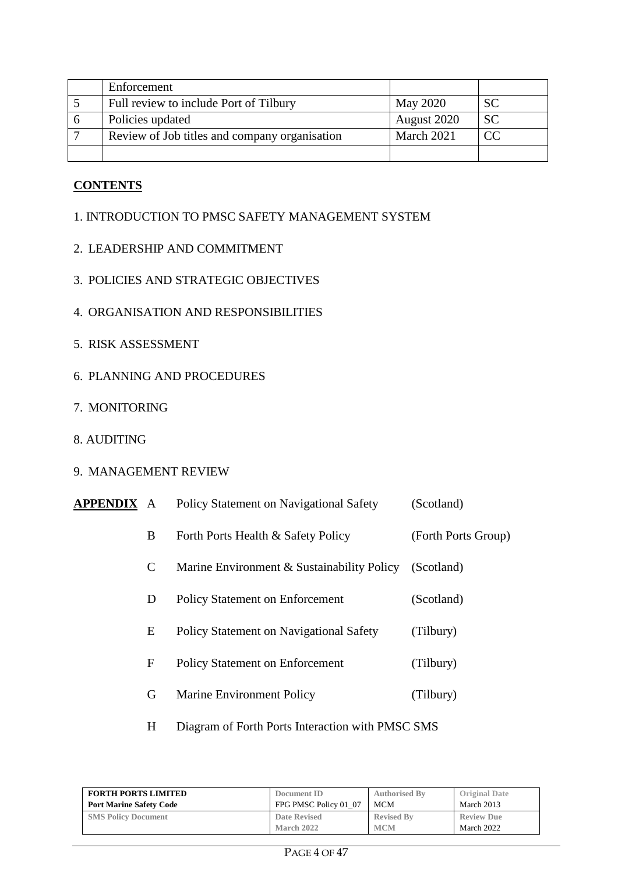| Enforcement                                   |             |                |
|-----------------------------------------------|-------------|----------------|
| Full review to include Port of Tilbury        | May 2020    | <b>SC</b>      |
| Policies updated                              | August 2020 | <b>SC</b>      |
| Review of Job titles and company organisation | March 2021  | $\overline{C}$ |
|                                               |             |                |

#### **CONTENTS**

#### 1. INTRODUCTION TO PMSC SAFETY MANAGEMENT SYSTEM

- 2. LEADERSHIP AND COMMITMENT
- 3. POLICIES AND STRATEGIC OBJECTIVES
- 4. ORGANISATION AND RESPONSIBILITIES
- 5. RISK ASSESSMENT
- 6. PLANNING AND PROCEDURES
- 7. MONITORING
- 8. AUDITING
- 9. MANAGEMENT REVIEW

| APPENDIX | A | Policy Statement on Navigational Safety    | (Scotland)          |
|----------|---|--------------------------------------------|---------------------|
|          | B | Forth Ports Health & Safety Policy         | (Forth Ports Group) |
|          | C | Marine Environment & Sustainability Policy | (Scotland)          |
|          | D | <b>Policy Statement on Enforcement</b>     | (Scotland)          |
|          | E | Policy Statement on Navigational Safety    | (Tilbury)           |
|          | F | <b>Policy Statement on Enforcement</b>     | (Tilbury)           |
|          | G | <b>Marine Environment Policy</b>           | (Tilbury)           |
|          |   |                                            |                     |

H Diagram of Forth Ports Interaction with PMSC SMS

| <b>FORTH PORTS LIMITED</b>     | Document ID           | <b>Authorised By</b> | <b>Original Date</b> |
|--------------------------------|-----------------------|----------------------|----------------------|
| <b>Port Marine Safety Code</b> | FPG PMSC Policy 01 07 | MCM                  | March 2013           |
| <b>SMS Policy Document</b>     | <b>Date Revised</b>   | <b>Revised By</b>    | <b>Review Due</b>    |
|                                | March 2022            | <b>MCM</b>           | March 2022           |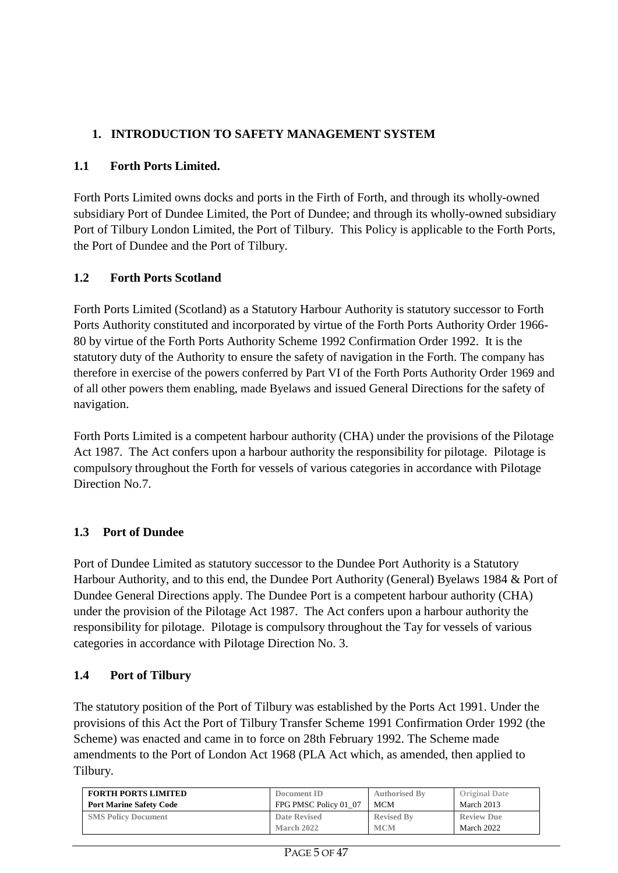## **1. INTRODUCTION TO SAFETY MANAGEMENT SYSTEM**

## **1.1 Forth Ports Limited.**

Forth Ports Limited owns docks and ports in the Firth of Forth, and through its wholly-owned subsidiary Port of Dundee Limited, the Port of Dundee; and through its wholly-owned subsidiary Port of Tilbury London Limited, the Port of Tilbury. This Policy is applicable to the Forth Ports, the Port of Dundee and the Port of Tilbury.

## **1.2 Forth Ports Scotland**

Forth Ports Limited (Scotland) as a Statutory Harbour Authority is statutory successor to Forth Ports Authority constituted and incorporated by virtue of the Forth Ports Authority Order 1966- 80 by virtue of the Forth Ports Authority Scheme 1992 Confirmation Order 1992. It is the statutory duty of the Authority to ensure the safety of navigation in the Forth. The company has therefore in exercise of the powers conferred by Part VI of the Forth Ports Authority Order 1969 and of all other powers them enabling, made Byelaws and issued General Directions for the safety of navigation.

Forth Ports Limited is a competent harbour authority (CHA) under the provisions of the Pilotage Act 1987. The Act confers upon a harbour authority the responsibility for pilotage. Pilotage is compulsory throughout the Forth for vessels of various categories in accordance with Pilotage Direction No.7.

## **1.3 Port of Dundee**

Port of Dundee Limited as statutory successor to the Dundee Port Authority is a Statutory Harbour Authority, and to this end, the Dundee Port Authority (General) Byelaws 1984 & Port of Dundee General Directions apply. The Dundee Port is a competent harbour authority (CHA) under the provision of the Pilotage Act 1987. The Act confers upon a harbour authority the responsibility for pilotage. Pilotage is compulsory throughout the Tay for vessels of various categories in accordance with Pilotage Direction No. 3.

#### **1.4 Port of Tilbury**

The statutory position of the Port of Tilbury was established by the Ports Act 1991. Under the provisions of this Act the Port of Tilbury Transfer Scheme 1991 Confirmation Order 1992 (the Scheme) was enacted and came in to force on 28th February 1992. The Scheme made amendments to the Port of London Act 1968 (PLA Act which, as amended, then applied to Tilbury.

| <b>FORTH PORTS LIMITED</b>     | Document ID           | <b>Authorised By</b> | <b>Original Date</b> |
|--------------------------------|-----------------------|----------------------|----------------------|
| <b>Port Marine Safety Code</b> | FPG PMSC Policy 01 07 | <b>MCM</b>           | March 2013           |
| <b>SMS Policy Document</b>     | <b>Date Revised</b>   | <b>Revised By</b>    | <b>Review Due</b>    |
|                                | <b>March 2022</b>     | <b>MCM</b>           | March 2022           |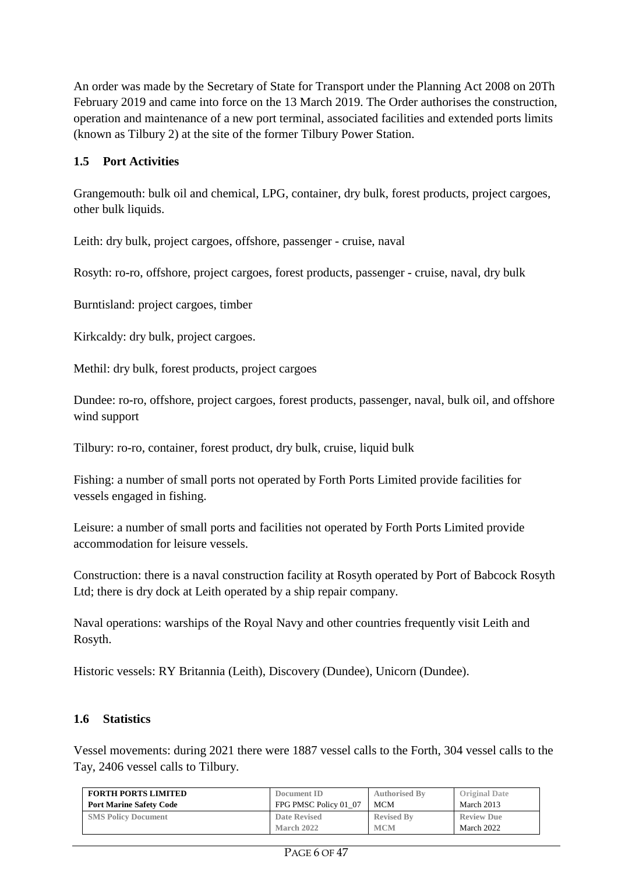An order was made by the Secretary of State for Transport under the Planning Act 2008 on 20Th February 2019 and came into force on the 13 March 2019. The Order authorises the construction, operation and maintenance of a new port terminal, associated facilities and extended ports limits (known as Tilbury 2) at the site of the former Tilbury Power Station.

### **1.5 Port Activities**

Grangemouth: bulk oil and chemical, LPG, container, dry bulk, forest products, project cargoes, other bulk liquids.

Leith: dry bulk, project cargoes, offshore, passenger - cruise, naval

Rosyth: ro-ro, offshore, project cargoes, forest products, passenger - cruise, naval, dry bulk

Burntisland: project cargoes, timber

Kirkcaldy: dry bulk, project cargoes.

Methil: dry bulk, forest products, project cargoes

Dundee: ro-ro, offshore, project cargoes, forest products, passenger, naval, bulk oil, and offshore wind support

Tilbury: ro-ro, container, forest product, dry bulk, cruise, liquid bulk

Fishing: a number of small ports not operated by Forth Ports Limited provide facilities for vessels engaged in fishing.

Leisure: a number of small ports and facilities not operated by Forth Ports Limited provide accommodation for leisure vessels.

Construction: there is a naval construction facility at Rosyth operated by Port of Babcock Rosyth Ltd; there is dry dock at Leith operated by a ship repair company.

Naval operations: warships of the Royal Navy and other countries frequently visit Leith and Rosyth.

Historic vessels: RY Britannia (Leith), Discovery (Dundee), Unicorn (Dundee).

#### **1.6 Statistics**

Vessel movements: during 2021 there were 1887 vessel calls to the Forth, 304 vessel calls to the Tay, 2406 vessel calls to Tilbury.

| <b>FORTH PORTS LIMITED</b>     | Document ID           | <b>Authorised By</b> | <b>Original Date</b> |
|--------------------------------|-----------------------|----------------------|----------------------|
| <b>Port Marine Safety Code</b> | FPG PMSC Policy 01 07 | MCM                  | March 2013           |
| <b>SMS Policy Document</b>     | <b>Date Revised</b>   | <b>Revised By</b>    | <b>Review Due</b>    |
|                                | <b>March 2022</b>     | <b>MCM</b>           | March 2022           |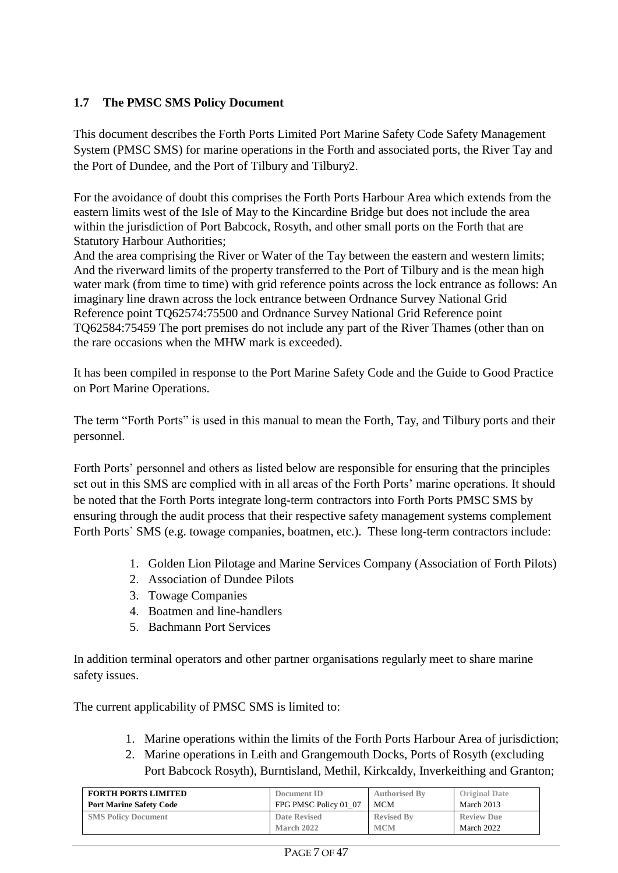## **1.7 The PMSC SMS Policy Document**

This document describes the Forth Ports Limited Port Marine Safety Code Safety Management System (PMSC SMS) for marine operations in the Forth and associated ports, the River Tay and the Port of Dundee, and the Port of Tilbury and Tilbury2.

For the avoidance of doubt this comprises the Forth Ports Harbour Area which extends from the eastern limits west of the Isle of May to the Kincardine Bridge but does not include the area within the jurisdiction of Port Babcock, Rosyth, and other small ports on the Forth that are Statutory Harbour Authorities;

And the area comprising the River or Water of the Tay between the eastern and western limits; And the riverward limits of the property transferred to the Port of Tilbury and is the mean high water mark (from time to time) with grid reference points across the lock entrance as follows: An imaginary line drawn across the lock entrance between Ordnance Survey National Grid Reference point TQ62574:75500 and Ordnance Survey National Grid Reference point TQ62584:75459 The port premises do not include any part of the River Thames (other than on the rare occasions when the MHW mark is exceeded).

It has been compiled in response to the Port Marine Safety Code and the Guide to Good Practice on Port Marine Operations.

The term "Forth Ports" is used in this manual to mean the Forth, Tay, and Tilbury ports and their personnel.

Forth Ports' personnel and others as listed below are responsible for ensuring that the principles set out in this SMS are complied with in all areas of the Forth Ports' marine operations. It should be noted that the Forth Ports integrate long-term contractors into Forth Ports PMSC SMS by ensuring through the audit process that their respective safety management systems complement Forth Ports` SMS (e.g. towage companies, boatmen, etc.). These long-term contractors include:

- 1. Golden Lion Pilotage and Marine Services Company (Association of Forth Pilots)
- 2. Association of Dundee Pilots
- 3. Towage Companies
- 4. Boatmen and line-handlers
- 5. Bachmann Port Services

In addition terminal operators and other partner organisations regularly meet to share marine safety issues.

The current applicability of PMSC SMS is limited to:

- 1. Marine operations within the limits of the Forth Ports Harbour Area of jurisdiction;
- 2. Marine operations in Leith and Grangemouth Docks, Ports of Rosyth (excluding Port Babcock Rosyth), Burntisland, Methil, Kirkcaldy, Inverkeithing and Granton;

| <b>FORTH PORTS LIMITED</b>     | Document ID           | <b>Authorised By</b> | <b>Original Date</b> |
|--------------------------------|-----------------------|----------------------|----------------------|
| <b>Port Marine Safety Code</b> | FPG PMSC Policy 01 07 | MCM                  | March 2013           |
| <b>SMS Policy Document</b>     | <b>Date Revised</b>   | <b>Revised By</b>    | <b>Review Due</b>    |
|                                | <b>March 2022</b>     | <b>MCM</b>           | March 2022           |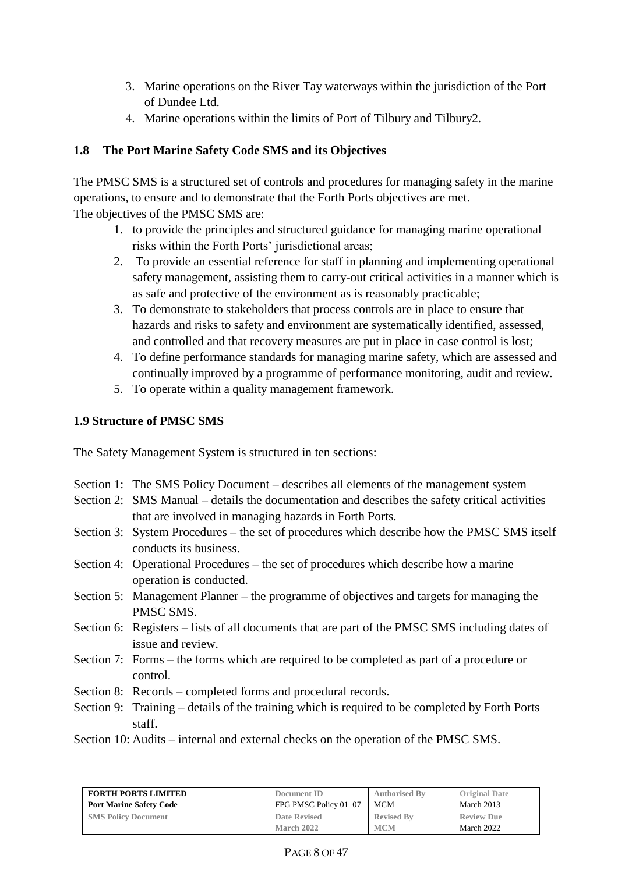- 3. Marine operations on the River Tay waterways within the jurisdiction of the Port of Dundee Ltd.
- 4. Marine operations within the limits of Port of Tilbury and Tilbury2.

## **1.8 The Port Marine Safety Code SMS and its Objectives**

The PMSC SMS is a structured set of controls and procedures for managing safety in the marine operations, to ensure and to demonstrate that the Forth Ports objectives are met. The objectives of the PMSC SMS are:

- 1. to provide the principles and structured guidance for managing marine operational risks within the Forth Ports' jurisdictional areas;
- 2. To provide an essential reference for staff in planning and implementing operational safety management, assisting them to carry-out critical activities in a manner which is as safe and protective of the environment as is reasonably practicable;
- 3. To demonstrate to stakeholders that process controls are in place to ensure that hazards and risks to safety and environment are systematically identified, assessed, and controlled and that recovery measures are put in place in case control is lost;
- 4. To define performance standards for managing marine safety, which are assessed and continually improved by a programme of performance monitoring, audit and review.
- 5. To operate within a quality management framework.

## **1.9 Structure of PMSC SMS**

The Safety Management System is structured in ten sections:

- Section 1: The SMS Policy Document describes all elements of the management system
- Section 2: SMS Manual details the documentation and describes the safety critical activities that are involved in managing hazards in Forth Ports.
- Section 3: System Procedures the set of procedures which describe how the PMSC SMS itself conducts its business.
- Section 4: Operational Procedures the set of procedures which describe how a marine operation is conducted.
- Section 5: Management Planner the programme of objectives and targets for managing the PMSC SMS.
- Section 6: Registers lists of all documents that are part of the PMSC SMS including dates of issue and review.
- Section 7: Forms the forms which are required to be completed as part of a procedure or control.
- Section 8: Records completed forms and procedural records.
- Section 9: Training details of the training which is required to be completed by Forth Ports staff.
- Section 10: Audits internal and external checks on the operation of the PMSC SMS.

| <b>FORTH PORTS LIMITED</b>     | Document ID           | <b>Authorised By</b> | <b>Original Date</b> |
|--------------------------------|-----------------------|----------------------|----------------------|
| <b>Port Marine Safety Code</b> | FPG PMSC Policy 01 07 | MCM                  | March 2013           |
| <b>SMS Policy Document</b>     | Date Revised          | <b>Revised By</b>    | <b>Review Due</b>    |
|                                | March 2022            | <b>MCM</b>           | March 2022           |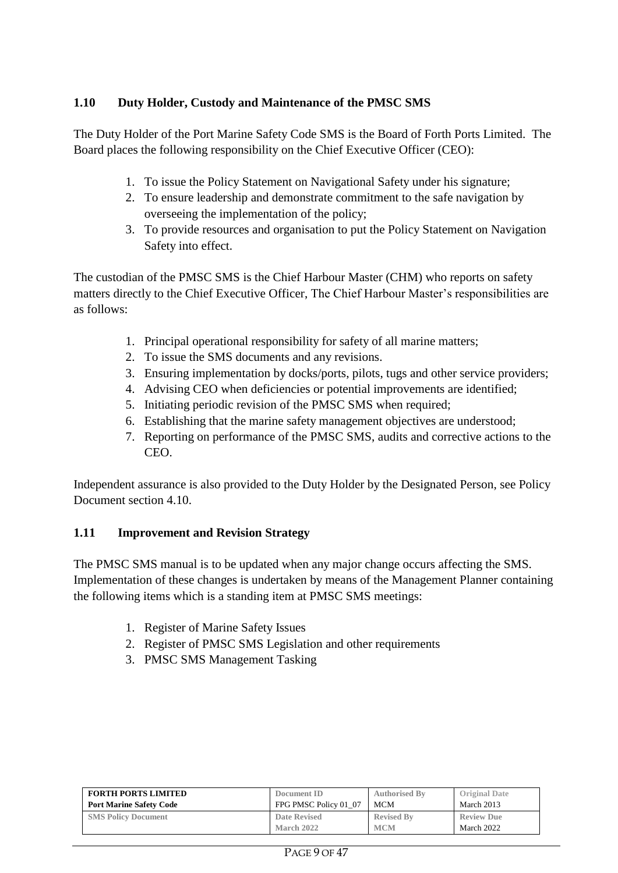## **1.10 Duty Holder, Custody and Maintenance of the PMSC SMS**

The Duty Holder of the Port Marine Safety Code SMS is the Board of Forth Ports Limited. The Board places the following responsibility on the Chief Executive Officer (CEO):

- 1. To issue the Policy Statement on Navigational Safety under his signature;
- 2. To ensure leadership and demonstrate commitment to the safe navigation by overseeing the implementation of the policy;
- 3. To provide resources and organisation to put the Policy Statement on Navigation Safety into effect.

The custodian of the PMSC SMS is the Chief Harbour Master (CHM) who reports on safety matters directly to the Chief Executive Officer, The Chief Harbour Master's responsibilities are as follows:

- 1. Principal operational responsibility for safety of all marine matters;
- 2. To issue the SMS documents and any revisions.
- 3. Ensuring implementation by docks/ports, pilots, tugs and other service providers;
- 4. Advising CEO when deficiencies or potential improvements are identified;
- 5. Initiating periodic revision of the PMSC SMS when required;
- 6. Establishing that the marine safety management objectives are understood;
- 7. Reporting on performance of the PMSC SMS, audits and corrective actions to the CEO.

Independent assurance is also provided to the Duty Holder by the Designated Person, see Policy Document section 4.10.

#### **1.11 Improvement and Revision Strategy**

The PMSC SMS manual is to be updated when any major change occurs affecting the SMS. Implementation of these changes is undertaken by means of the Management Planner containing the following items which is a standing item at PMSC SMS meetings:

- 1. Register of Marine Safety Issues
- 2. Register of PMSC SMS Legislation and other requirements
- 3. PMSC SMS Management Tasking

| <b>FORTH PORTS LIMITED</b>     | Document ID           | <b>Authorised By</b> | <b>Original Date</b> |
|--------------------------------|-----------------------|----------------------|----------------------|
| <b>Port Marine Safety Code</b> | FPG PMSC Policy 01 07 | MCM                  | March 2013           |
| <b>SMS Policy Document</b>     | Date Revised          | <b>Revised By</b>    | <b>Review Due</b>    |
|                                | March 2022            | <b>MCM</b>           | March 2022           |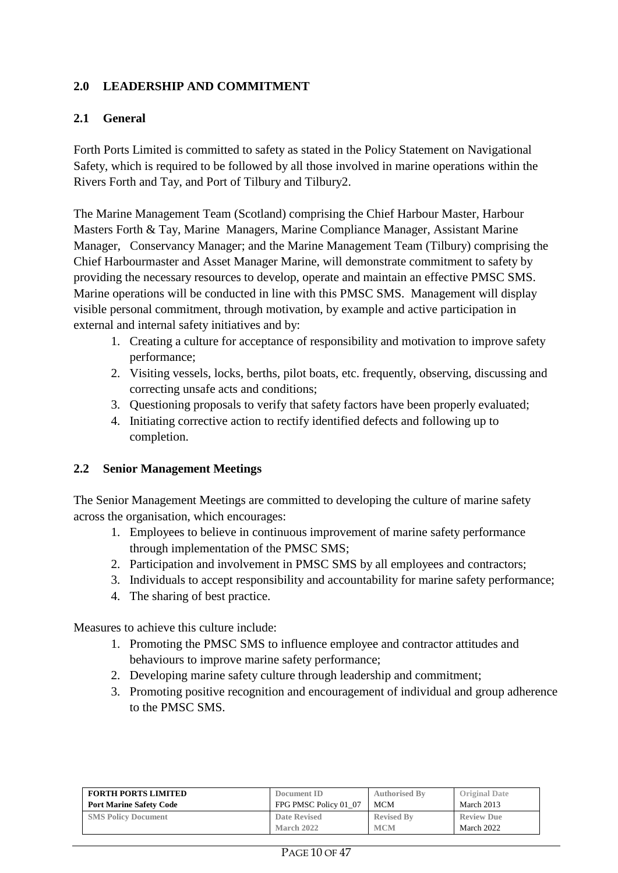## **2.0 LEADERSHIP AND COMMITMENT**

#### **2.1 General**

Forth Ports Limited is committed to safety as stated in the Policy Statement on Navigational Safety, which is required to be followed by all those involved in marine operations within the Rivers Forth and Tay, and Port of Tilbury and Tilbury2.

The Marine Management Team (Scotland) comprising the Chief Harbour Master, Harbour Masters Forth & Tay, Marine Managers, Marine Compliance Manager, Assistant Marine Manager, Conservancy Manager; and the Marine Management Team (Tilbury) comprising the Chief Harbourmaster and Asset Manager Marine, will demonstrate commitment to safety by providing the necessary resources to develop, operate and maintain an effective PMSC SMS. Marine operations will be conducted in line with this PMSC SMS. Management will display visible personal commitment, through motivation, by example and active participation in external and internal safety initiatives and by:

- 1. Creating a culture for acceptance of responsibility and motivation to improve safety performance;
- 2. Visiting vessels, locks, berths, pilot boats, etc. frequently, observing, discussing and correcting unsafe acts and conditions;
- 3. Questioning proposals to verify that safety factors have been properly evaluated;
- 4. Initiating corrective action to rectify identified defects and following up to completion.

#### **2.2 Senior Management Meetings**

The Senior Management Meetings are committed to developing the culture of marine safety across the organisation, which encourages:

- 1. Employees to believe in continuous improvement of marine safety performance through implementation of the PMSC SMS;
- 2. Participation and involvement in PMSC SMS by all employees and contractors;
- 3. Individuals to accept responsibility and accountability for marine safety performance;
- 4. The sharing of best practice.

Measures to achieve this culture include:

- 1. Promoting the PMSC SMS to influence employee and contractor attitudes and behaviours to improve marine safety performance;
- 2. Developing marine safety culture through leadership and commitment;
- 3. Promoting positive recognition and encouragement of individual and group adherence to the PMSC SMS.

| <b>FORTH PORTS LIMITED</b>     | Document ID           | <b>Authorised By</b> | <b>Original Date</b> |
|--------------------------------|-----------------------|----------------------|----------------------|
| <b>Port Marine Safety Code</b> | FPG PMSC Policy 01 07 | MCM                  | March 2013           |
| <b>SMS Policy Document</b>     | Date Revised          | <b>Revised By</b>    | <b>Review Due</b>    |
|                                | March 2022            | <b>MCM</b>           | March 2022           |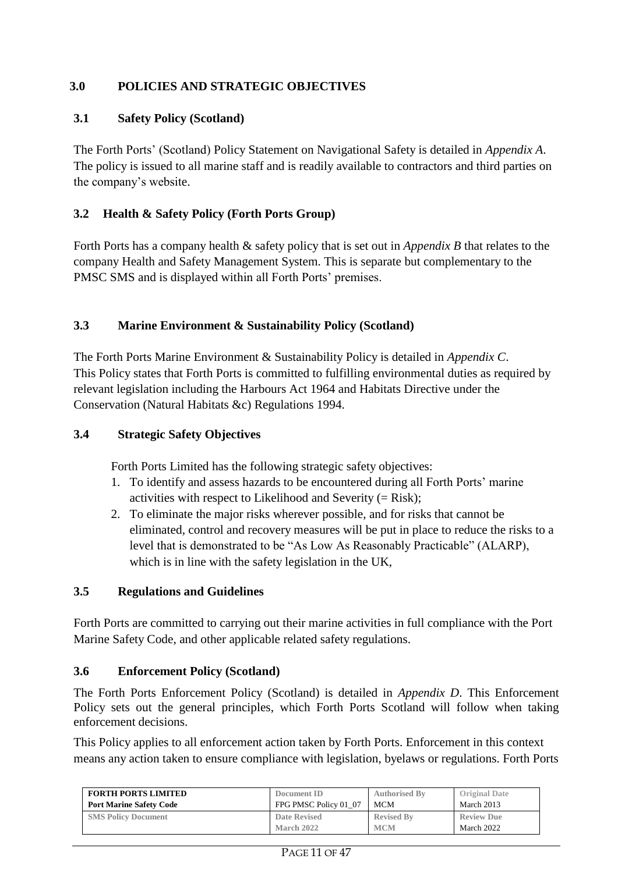### **3.0 POLICIES AND STRATEGIC OBJECTIVES**

#### **3.1 Safety Policy (Scotland)**

The Forth Ports' (Scotland) Policy Statement on Navigational Safety is detailed in *Appendix A*. The policy is issued to all marine staff and is readily available to contractors and third parties on the company's website.

#### **3.2 Health & Safety Policy (Forth Ports Group)**

Forth Ports has a company health & safety policy that is set out in *Appendix B* that relates to the company Health and Safety Management System. This is separate but complementary to the PMSC SMS and is displayed within all Forth Ports' premises.

#### **3.3 Marine Environment & Sustainability Policy (Scotland)**

The Forth Ports Marine Environment & Sustainability Policy is detailed in *Appendix C*. This Policy states that Forth Ports is committed to fulfilling environmental duties as required by relevant legislation including the Harbours Act 1964 and Habitats Directive under the Conservation (Natural Habitats &c) Regulations 1994.

#### **3.4 Strategic Safety Objectives**

Forth Ports Limited has the following strategic safety objectives:

- 1. To identify and assess hazards to be encountered during all Forth Ports' marine activities with respect to Likelihood and Severity  $(= Risk)$ ;
- 2. To eliminate the major risks wherever possible, and for risks that cannot be eliminated, control and recovery measures will be put in place to reduce the risks to a level that is demonstrated to be "As Low As Reasonably Practicable" (ALARP), which is in line with the safety legislation in the UK,

#### **3.5 Regulations and Guidelines**

Forth Ports are committed to carrying out their marine activities in full compliance with the Port Marine Safety Code, and other applicable related safety regulations.

#### **3.6 Enforcement Policy (Scotland)**

The Forth Ports Enforcement Policy (Scotland) is detailed in *Appendix D*. This Enforcement Policy sets out the general principles, which Forth Ports Scotland will follow when taking enforcement decisions.

This Policy applies to all enforcement action taken by Forth Ports. Enforcement in this context means any action taken to ensure compliance with legislation, byelaws or regulations. Forth Ports

| <b>FORTH PORTS LIMITED</b>     | Document ID           | <b>Authorised By</b> | <b>Original Date</b> |
|--------------------------------|-----------------------|----------------------|----------------------|
| <b>Port Marine Safety Code</b> | FPG PMSC Policy 01 07 | <b>MCM</b>           | March 2013           |
| <b>SMS Policy Document</b>     | Date Revised          | <b>Revised By</b>    | <b>Review Due</b>    |
|                                | March 2022            | <b>MCM</b>           | March 2022           |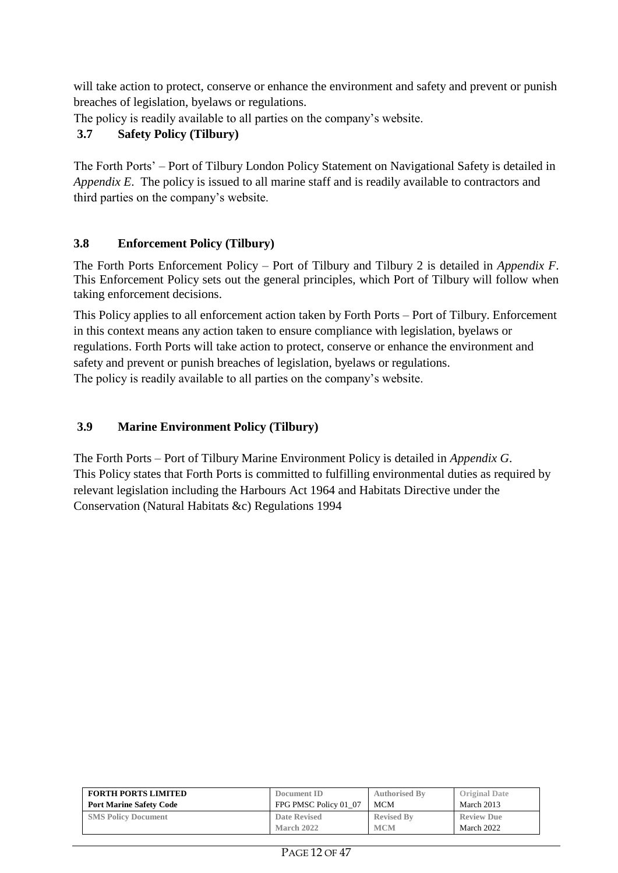will take action to protect, conserve or enhance the environment and safety and prevent or punish breaches of legislation, byelaws or regulations.

The policy is readily available to all parties on the company's website.

## **3.7 Safety Policy (Tilbury)**

The Forth Ports' – Port of Tilbury London Policy Statement on Navigational Safety is detailed in *Appendix E*. The policy is issued to all marine staff and is readily available to contractors and third parties on the company's website.

## **3.8 Enforcement Policy (Tilbury)**

The Forth Ports Enforcement Policy – Port of Tilbury and Tilbury 2 is detailed in *Appendix F*. This Enforcement Policy sets out the general principles, which Port of Tilbury will follow when taking enforcement decisions.

This Policy applies to all enforcement action taken by Forth Ports – Port of Tilbury. Enforcement in this context means any action taken to ensure compliance with legislation, byelaws or regulations. Forth Ports will take action to protect, conserve or enhance the environment and safety and prevent or punish breaches of legislation, byelaws or regulations. The policy is readily available to all parties on the company's website.

## **3.9 Marine Environment Policy (Tilbury)**

The Forth Ports – Port of Tilbury Marine Environment Policy is detailed in *Appendix G*. This Policy states that Forth Ports is committed to fulfilling environmental duties as required by relevant legislation including the Harbours Act 1964 and Habitats Directive under the Conservation (Natural Habitats &c) Regulations 1994

| <b>FORTH PORTS LIMITED</b>     | Document ID           | <b>Authorised By</b> | <b>Original Date</b> |
|--------------------------------|-----------------------|----------------------|----------------------|
| <b>Port Marine Safety Code</b> | FPG PMSC Policy 01 07 | <b>MCM</b>           | March 2013           |
| <b>SMS Policy Document</b>     | Date Revised          | <b>Revised By</b>    | <b>Review Due</b>    |
|                                | March 2022            | <b>MCM</b>           | March 2022           |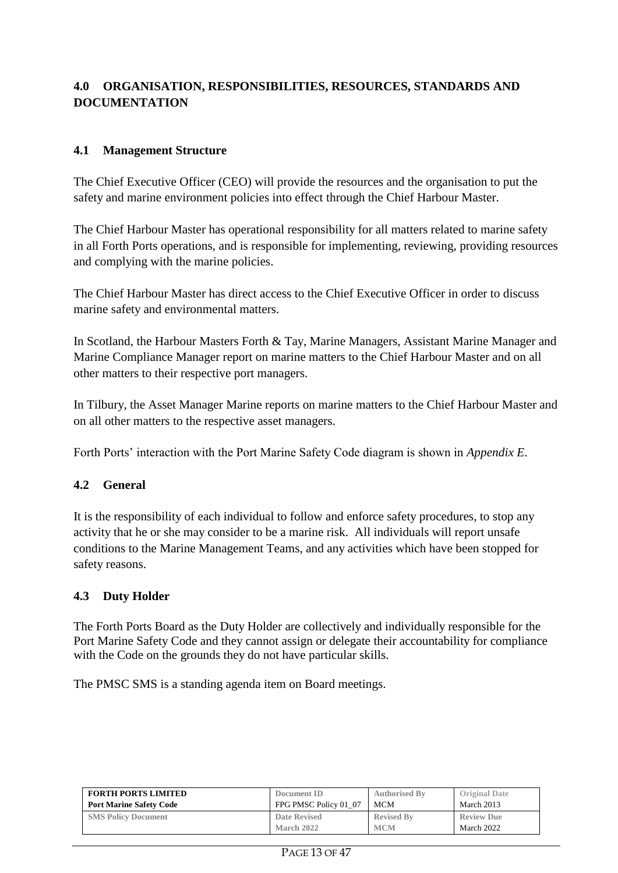## **4.0 ORGANISATION, RESPONSIBILITIES, RESOURCES, STANDARDS AND DOCUMENTATION**

#### **4.1 Management Structure**

The Chief Executive Officer (CEO) will provide the resources and the organisation to put the safety and marine environment policies into effect through the Chief Harbour Master.

The Chief Harbour Master has operational responsibility for all matters related to marine safety in all Forth Ports operations, and is responsible for implementing, reviewing, providing resources and complying with the marine policies.

The Chief Harbour Master has direct access to the Chief Executive Officer in order to discuss marine safety and environmental matters.

In Scotland, the Harbour Masters Forth & Tay, Marine Managers, Assistant Marine Manager and Marine Compliance Manager report on marine matters to the Chief Harbour Master and on all other matters to their respective port managers.

In Tilbury, the Asset Manager Marine reports on marine matters to the Chief Harbour Master and on all other matters to the respective asset managers.

Forth Ports' interaction with the Port Marine Safety Code diagram is shown in *Appendix E*.

#### **4.2 General**

It is the responsibility of each individual to follow and enforce safety procedures, to stop any activity that he or she may consider to be a marine risk. All individuals will report unsafe conditions to the Marine Management Teams, and any activities which have been stopped for safety reasons.

#### **4.3 Duty Holder**

The Forth Ports Board as the Duty Holder are collectively and individually responsible for the Port Marine Safety Code and they cannot assign or delegate their accountability for compliance with the Code on the grounds they do not have particular skills.

The PMSC SMS is a standing agenda item on Board meetings.

| <b>FORTH PORTS LIMITED</b>     | Document ID           | <b>Authorised By</b> | <b>Original Date</b> |
|--------------------------------|-----------------------|----------------------|----------------------|
| <b>Port Marine Safety Code</b> | FPG PMSC Policy 01 07 | MCM                  | March 2013           |
| <b>SMS Policy Document</b>     | Date Revised          | <b>Revised By</b>    | <b>Review Due</b>    |
|                                | March 2022            | <b>MCM</b>           | March 2022           |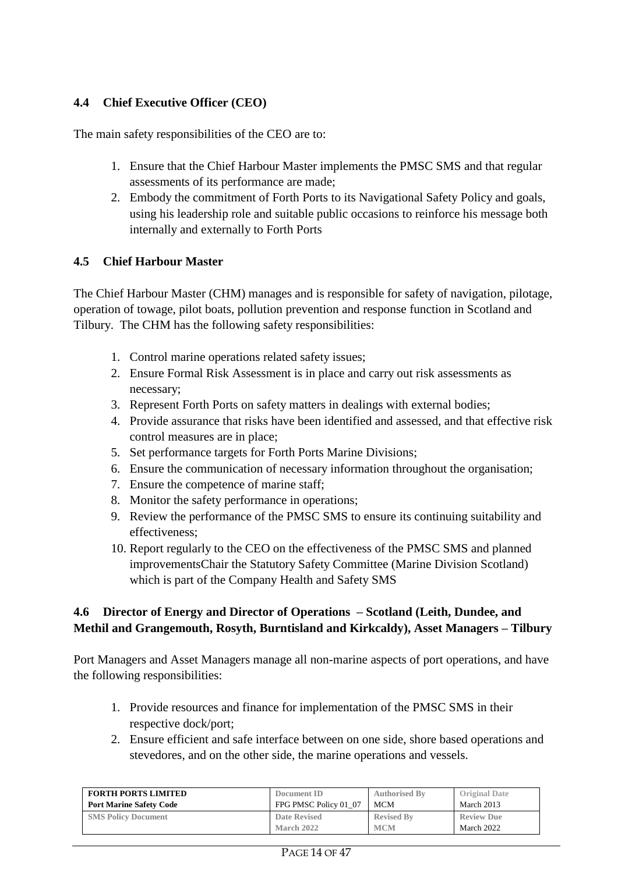### **4.4 Chief Executive Officer (CEO)**

The main safety responsibilities of the CEO are to:

- 1. Ensure that the Chief Harbour Master implements the PMSC SMS and that regular assessments of its performance are made;
- 2. Embody the commitment of Forth Ports to its Navigational Safety Policy and goals, using his leadership role and suitable public occasions to reinforce his message both internally and externally to Forth Ports

#### **4.5 Chief Harbour Master**

The Chief Harbour Master (CHM) manages and is responsible for safety of navigation, pilotage, operation of towage, pilot boats, pollution prevention and response function in Scotland and Tilbury. The CHM has the following safety responsibilities:

- 1. Control marine operations related safety issues;
- 2. Ensure Formal Risk Assessment is in place and carry out risk assessments as necessary;
- 3. Represent Forth Ports on safety matters in dealings with external bodies;
- 4. Provide assurance that risks have been identified and assessed, and that effective risk control measures are in place;
- 5. Set performance targets for Forth Ports Marine Divisions;
- 6. Ensure the communication of necessary information throughout the organisation;
- 7. Ensure the competence of marine staff;
- 8. Monitor the safety performance in operations;
- 9. Review the performance of the PMSC SMS to ensure its continuing suitability and effectiveness;
- 10. Report regularly to the CEO on the effectiveness of the PMSC SMS and planned improvementsChair the Statutory Safety Committee (Marine Division Scotland) which is part of the Company Health and Safety SMS

#### **4.6 Director of Energy and Director of Operations – Scotland (Leith, Dundee, and Methil and Grangemouth, Rosyth, Burntisland and Kirkcaldy), Asset Managers – Tilbury**

Port Managers and Asset Managers manage all non-marine aspects of port operations, and have the following responsibilities:

- 1. Provide resources and finance for implementation of the PMSC SMS in their respective dock/port;
- 2. Ensure efficient and safe interface between on one side, shore based operations and stevedores, and on the other side, the marine operations and vessels.

| <b>FORTH PORTS LIMITED</b>     | Document ID           | <b>Authorised By</b> | <b>Original Date</b> |
|--------------------------------|-----------------------|----------------------|----------------------|
| <b>Port Marine Safety Code</b> | FPG PMSC Policy 01 07 | <b>MCM</b>           | March 2013           |
| <b>SMS Policy Document</b>     | <b>Date Revised</b>   | <b>Revised By</b>    | <b>Review Due</b>    |
|                                | <b>March 2022</b>     | <b>MCM</b>           | March 2022           |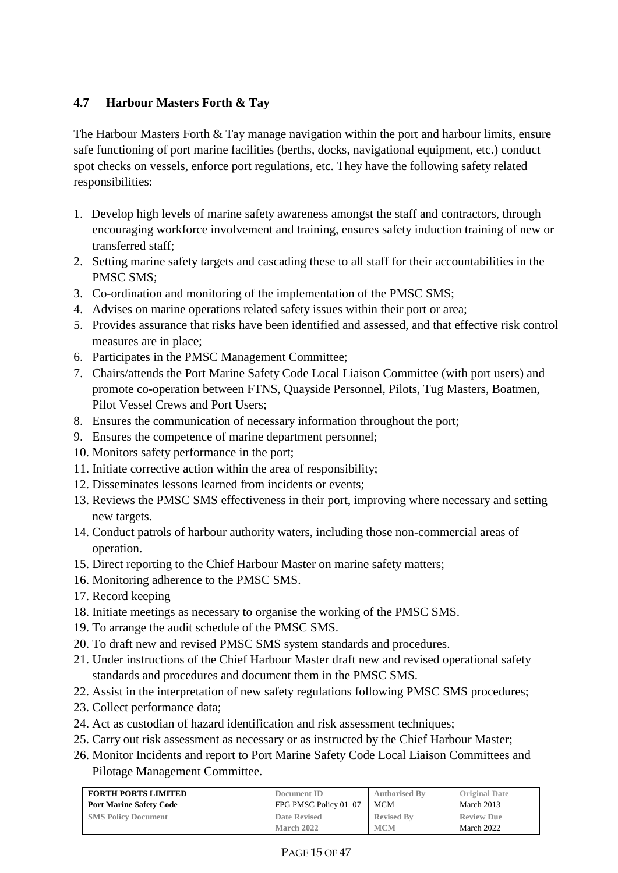## **4.7 Harbour Masters Forth & Tay**

The Harbour Masters Forth  $\&$  Tay manage navigation within the port and harbour limits, ensure safe functioning of port marine facilities (berths, docks, navigational equipment, etc.) conduct spot checks on vessels, enforce port regulations, etc. They have the following safety related responsibilities:

- 1. Develop high levels of marine safety awareness amongst the staff and contractors, through encouraging workforce involvement and training, ensures safety induction training of new or transferred staff;
- 2. Setting marine safety targets and cascading these to all staff for their accountabilities in the PMSC SMS;
- 3. Co-ordination and monitoring of the implementation of the PMSC SMS;
- 4. Advises on marine operations related safety issues within their port or area;
- 5. Provides assurance that risks have been identified and assessed, and that effective risk control measures are in place;
- 6. Participates in the PMSC Management Committee;
- 7. Chairs/attends the Port Marine Safety Code Local Liaison Committee (with port users) and promote co-operation between FTNS, Quayside Personnel, Pilots, Tug Masters, Boatmen, Pilot Vessel Crews and Port Users;
- 8. Ensures the communication of necessary information throughout the port;
- 9. Ensures the competence of marine department personnel;
- 10. Monitors safety performance in the port;
- 11. Initiate corrective action within the area of responsibility;
- 12. Disseminates lessons learned from incidents or events;
- 13. Reviews the PMSC SMS effectiveness in their port, improving where necessary and setting new targets.
- 14. Conduct patrols of harbour authority waters, including those non-commercial areas of operation.
- 15. Direct reporting to the Chief Harbour Master on marine safety matters;
- 16. Monitoring adherence to the PMSC SMS.
- 17. Record keeping
- 18. Initiate meetings as necessary to organise the working of the PMSC SMS.
- 19. To arrange the audit schedule of the PMSC SMS.
- 20. To draft new and revised PMSC SMS system standards and procedures.
- 21. Under instructions of the Chief Harbour Master draft new and revised operational safety standards and procedures and document them in the PMSC SMS.
- 22. Assist in the interpretation of new safety regulations following PMSC SMS procedures;
- 23. Collect performance data;
- 24. Act as custodian of hazard identification and risk assessment techniques;
- 25. Carry out risk assessment as necessary or as instructed by the Chief Harbour Master;
- 26. Monitor Incidents and report to Port Marine Safety Code Local Liaison Committees and Pilotage Management Committee.

| <b>FORTH PORTS LIMITED</b>     | Document ID           | <b>Authorised By</b> | <b>Original Date</b> |
|--------------------------------|-----------------------|----------------------|----------------------|
| <b>Port Marine Safety Code</b> | FPG PMSC Policy 01 07 | MCM                  | March 2013           |
| <b>SMS Policy Document</b>     | Date Revised          | <b>Revised By</b>    | <b>Review Due</b>    |
|                                | March 2022            | <b>MCM</b>           | March 2022           |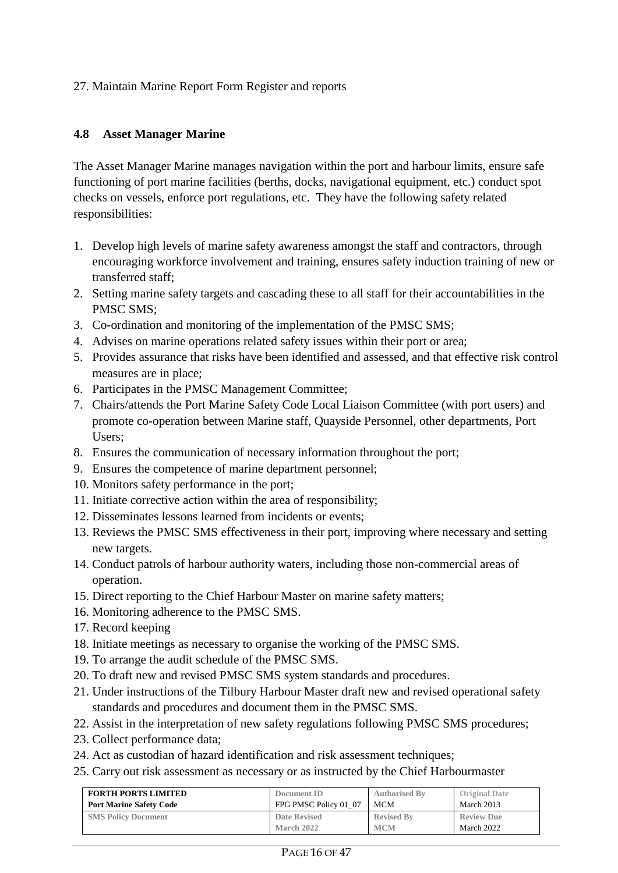#### 27. Maintain Marine Report Form Register and reports

#### **4.8 Asset Manager Marine**

The Asset Manager Marine manages navigation within the port and harbour limits, ensure safe functioning of port marine facilities (berths, docks, navigational equipment, etc.) conduct spot checks on vessels, enforce port regulations, etc. They have the following safety related responsibilities:

- 1. Develop high levels of marine safety awareness amongst the staff and contractors, through encouraging workforce involvement and training, ensures safety induction training of new or transferred staff;
- 2. Setting marine safety targets and cascading these to all staff for their accountabilities in the PMSC SMS;
- 3. Co-ordination and monitoring of the implementation of the PMSC SMS;
- 4. Advises on marine operations related safety issues within their port or area;
- 5. Provides assurance that risks have been identified and assessed, and that effective risk control measures are in place;
- 6. Participates in the PMSC Management Committee;
- 7. Chairs/attends the Port Marine Safety Code Local Liaison Committee (with port users) and promote co-operation between Marine staff, Quayside Personnel, other departments, Port Users;
- 8. Ensures the communication of necessary information throughout the port;
- 9. Ensures the competence of marine department personnel;
- 10. Monitors safety performance in the port;
- 11. Initiate corrective action within the area of responsibility;
- 12. Disseminates lessons learned from incidents or events;
- 13. Reviews the PMSC SMS effectiveness in their port, improving where necessary and setting new targets.
- 14. Conduct patrols of harbour authority waters, including those non-commercial areas of operation.
- 15. Direct reporting to the Chief Harbour Master on marine safety matters;
- 16. Monitoring adherence to the PMSC SMS.
- 17. Record keeping
- 18. Initiate meetings as necessary to organise the working of the PMSC SMS.
- 19. To arrange the audit schedule of the PMSC SMS.
- 20. To draft new and revised PMSC SMS system standards and procedures.
- 21. Under instructions of the Tilbury Harbour Master draft new and revised operational safety standards and procedures and document them in the PMSC SMS.
- 22. Assist in the interpretation of new safety regulations following PMSC SMS procedures;
- 23. Collect performance data;
- 24. Act as custodian of hazard identification and risk assessment techniques;
- 25. Carry out risk assessment as necessary or as instructed by the Chief Harbourmaster

| <b>FORTH PORTS LIMITED</b>     | Document ID           | <b>Authorised By</b> | <b>Original Date</b> |
|--------------------------------|-----------------------|----------------------|----------------------|
| <b>Port Marine Safety Code</b> | FPG PMSC Policy 01 07 | MCM                  | March 2013           |
| <b>SMS Policy Document</b>     | Date Revised          | <b>Revised By</b>    | <b>Review Due</b>    |
|                                | March 2022            | <b>MCM</b>           | March 2022           |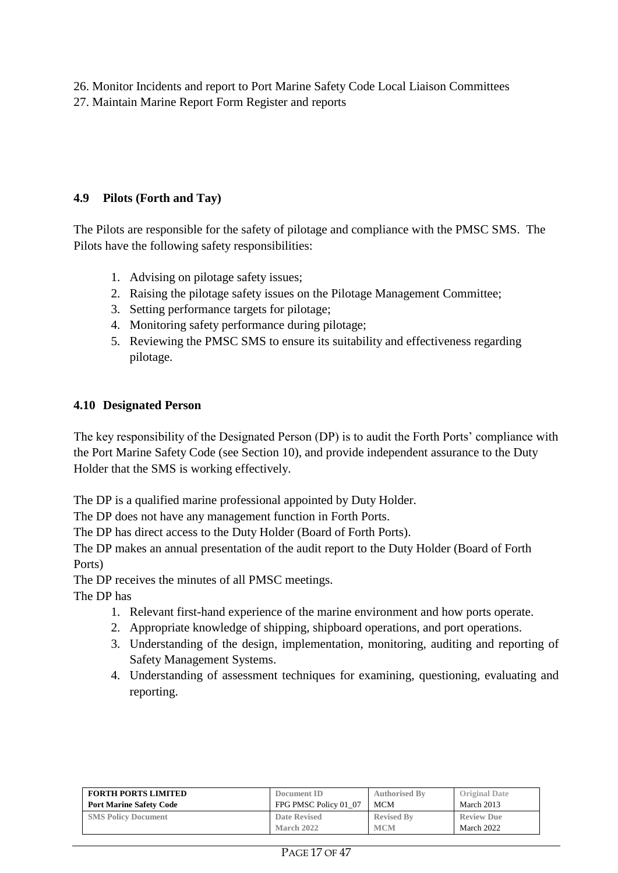26. Monitor Incidents and report to Port Marine Safety Code Local Liaison Committees

27. Maintain Marine Report Form Register and reports

## **4.9 Pilots (Forth and Tay)**

The Pilots are responsible for the safety of pilotage and compliance with the PMSC SMS. The Pilots have the following safety responsibilities:

- 1. Advising on pilotage safety issues;
- 2. Raising the pilotage safety issues on the Pilotage Management Committee;
- 3. Setting performance targets for pilotage;
- 4. Monitoring safety performance during pilotage;
- 5. Reviewing the PMSC SMS to ensure its suitability and effectiveness regarding pilotage.

## **4.10 Designated Person**

The key responsibility of the Designated Person (DP) is to audit the Forth Ports' compliance with the Port Marine Safety Code (see Section 10), and provide independent assurance to the Duty Holder that the SMS is working effectively.

The DP is a qualified marine professional appointed by Duty Holder.

The DP does not have any management function in Forth Ports.

The DP has direct access to the Duty Holder (Board of Forth Ports).

The DP makes an annual presentation of the audit report to the Duty Holder (Board of Forth Ports)

The DP receives the minutes of all PMSC meetings.

The DP has

- 1. Relevant first-hand experience of the marine environment and how ports operate.
- 2. Appropriate knowledge of shipping, shipboard operations, and port operations.
- 3. Understanding of the design, implementation, monitoring, auditing and reporting of Safety Management Systems.
- 4. Understanding of assessment techniques for examining, questioning, evaluating and reporting.

| <b>FORTH PORTS LIMITED</b>     | Document ID           | <b>Authorised By</b> | <b>Original Date</b> |
|--------------------------------|-----------------------|----------------------|----------------------|
| <b>Port Marine Safety Code</b> | FPG PMSC Policy 01 07 | MCM                  | March 2013           |
| <b>SMS Policy Document</b>     | <b>Date Revised</b>   | <b>Revised By</b>    | <b>Review Due</b>    |
|                                | <b>March 2022</b>     | <b>MCM</b>           | March 2022           |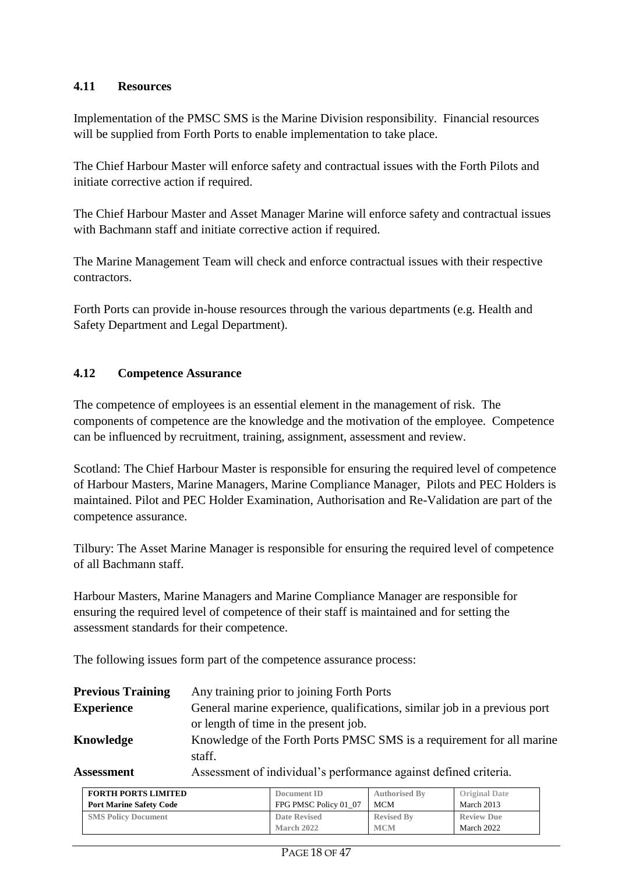#### **4.11 Resources**

Implementation of the PMSC SMS is the Marine Division responsibility. Financial resources will be supplied from Forth Ports to enable implementation to take place.

The Chief Harbour Master will enforce safety and contractual issues with the Forth Pilots and initiate corrective action if required.

The Chief Harbour Master and Asset Manager Marine will enforce safety and contractual issues with Bachmann staff and initiate corrective action if required.

The Marine Management Team will check and enforce contractual issues with their respective contractors.

Forth Ports can provide in-house resources through the various departments (e.g. Health and Safety Department and Legal Department).

#### **4.12 Competence Assurance**

The competence of employees is an essential element in the management of risk. The components of competence are the knowledge and the motivation of the employee. Competence can be influenced by recruitment, training, assignment, assessment and review.

Scotland: The Chief Harbour Master is responsible for ensuring the required level of competence of Harbour Masters, Marine Managers, Marine Compliance Manager, Pilots and PEC Holders is maintained. Pilot and PEC Holder Examination, Authorisation and Re-Validation are part of the competence assurance.

Tilbury: The Asset Marine Manager is responsible for ensuring the required level of competence of all Bachmann staff.

Harbour Masters, Marine Managers and Marine Compliance Manager are responsible for ensuring the required level of competence of their staff is maintained and for setting the assessment standards for their competence.

The following issues form part of the competence assurance process:

| <b>Previous Training</b>    | Any training prior to joining Forth Ports                                            |
|-----------------------------|--------------------------------------------------------------------------------------|
| <b>Experience</b>           | General marine experience, qualifications, similar job in a previous port            |
|                             | or length of time in the present job.                                                |
| Knowledge                   | Knowledge of the Forth Ports PMSC SMS is a requirement for all marine                |
|                             | staff.                                                                               |
| $\lambda$ cococose os $\pm$ | $\Lambda$ as a sense on the fine direction of the model was a sense of defined anti- |

**Assessment** Assessment of individual's performance against defined criteria.

| <b>FORTH PORTS LIMITED</b>     | Document ID           | <b>Authorised By</b> | <b>Original Date</b> |
|--------------------------------|-----------------------|----------------------|----------------------|
| <b>Port Marine Safety Code</b> | FPG PMSC Policy 01 07 | MCM                  | March 2013           |
| <b>SMS Policy Document</b>     | Date Revised          | <b>Revised By</b>    | <b>Review Due</b>    |
|                                | March 2022            | <b>MCM</b>           | March 2022           |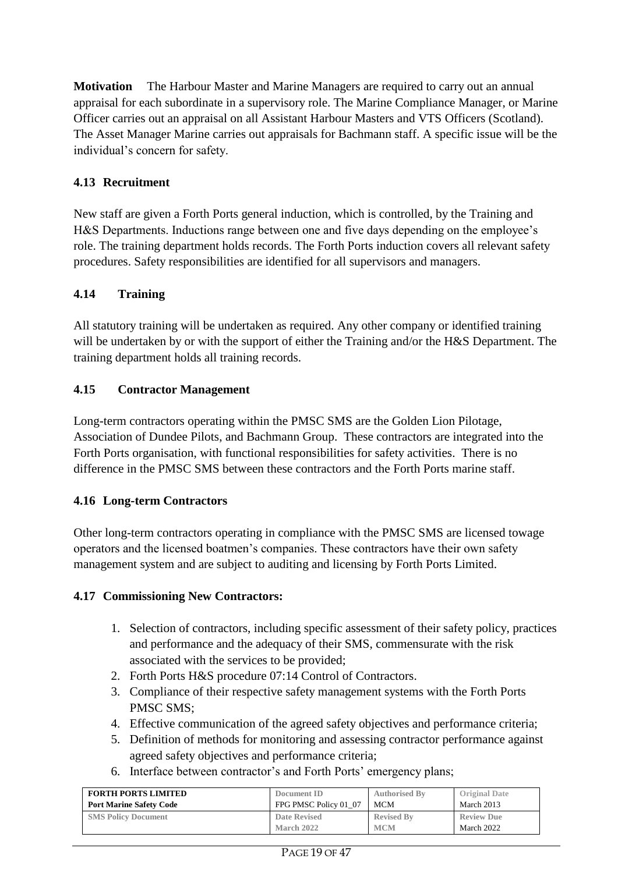**Motivation** The Harbour Master and Marine Managers are required to carry out an annual appraisal for each subordinate in a supervisory role. The Marine Compliance Manager, or Marine Officer carries out an appraisal on all Assistant Harbour Masters and VTS Officers (Scotland). The Asset Manager Marine carries out appraisals for Bachmann staff. A specific issue will be the individual's concern for safety.

## **4.13 Recruitment**

New staff are given a Forth Ports general induction, which is controlled, by the Training and H&S Departments. Inductions range between one and five days depending on the employee's role. The training department holds records. The Forth Ports induction covers all relevant safety procedures. Safety responsibilities are identified for all supervisors and managers.

## **4.14 Training**

All statutory training will be undertaken as required. Any other company or identified training will be undertaken by or with the support of either the Training and/or the H&S Department. The training department holds all training records.

#### **4.15 Contractor Management**

Long-term contractors operating within the PMSC SMS are the Golden Lion Pilotage, Association of Dundee Pilots, and Bachmann Group. These contractors are integrated into the Forth Ports organisation, with functional responsibilities for safety activities. There is no difference in the PMSC SMS between these contractors and the Forth Ports marine staff.

#### **4.16 Long-term Contractors**

Other long-term contractors operating in compliance with the PMSC SMS are licensed towage operators and the licensed boatmen's companies. These contractors have their own safety management system and are subject to auditing and licensing by Forth Ports Limited.

#### **4.17 Commissioning New Contractors:**

- 1. Selection of contractors, including specific assessment of their safety policy, practices and performance and the adequacy of their SMS, commensurate with the risk associated with the services to be provided;
- 2. Forth Ports H&S procedure 07:14 Control of Contractors.
- 3. Compliance of their respective safety management systems with the Forth Ports PMSC SMS;
- 4. Effective communication of the agreed safety objectives and performance criteria;
- 5. Definition of methods for monitoring and assessing contractor performance against agreed safety objectives and performance criteria;
- 6. Interface between contractor's and Forth Ports' emergency plans;

| <b>FORTH PORTS LIMITED</b>     | Document ID           | <b>Authorised By</b> | <b>Original Date</b> |
|--------------------------------|-----------------------|----------------------|----------------------|
| <b>Port Marine Safety Code</b> | FPG PMSC Policy 01 07 | MCM                  | March 2013           |
| <b>SMS Policy Document</b>     | <b>Date Revised</b>   | <b>Revised By</b>    | <b>Review Due</b>    |
|                                | March 2022            | <b>MCM</b>           | March 2022           |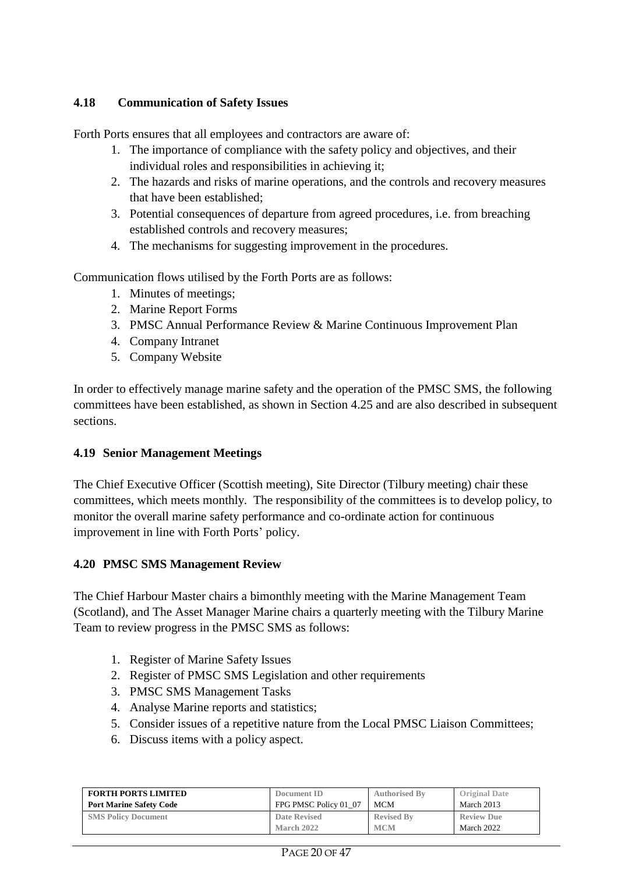### **4.18 Communication of Safety Issues**

Forth Ports ensures that all employees and contractors are aware of:

- 1. The importance of compliance with the safety policy and objectives, and their individual roles and responsibilities in achieving it;
- 2. The hazards and risks of marine operations, and the controls and recovery measures that have been established;
- 3. Potential consequences of departure from agreed procedures, i.e. from breaching established controls and recovery measures;
- 4. The mechanisms for suggesting improvement in the procedures.

Communication flows utilised by the Forth Ports are as follows:

- 1. Minutes of meetings;
- 2. Marine Report Forms
- 3. PMSC Annual Performance Review & Marine Continuous Improvement Plan
- 4. Company Intranet
- 5. Company Website

In order to effectively manage marine safety and the operation of the PMSC SMS, the following committees have been established, as shown in Section 4.25 and are also described in subsequent sections.

#### **4.19 Senior Management Meetings**

The Chief Executive Officer (Scottish meeting), Site Director (Tilbury meeting) chair these committees, which meets monthly. The responsibility of the committees is to develop policy, to monitor the overall marine safety performance and co-ordinate action for continuous improvement in line with Forth Ports' policy.

#### **4.20 PMSC SMS Management Review**

The Chief Harbour Master chairs a bimonthly meeting with the Marine Management Team (Scotland), and The Asset Manager Marine chairs a quarterly meeting with the Tilbury Marine Team to review progress in the PMSC SMS as follows:

- 1. Register of Marine Safety Issues
- 2. Register of PMSC SMS Legislation and other requirements
- 3. PMSC SMS Management Tasks
- 4. Analyse Marine reports and statistics;
- 5. Consider issues of a repetitive nature from the Local PMSC Liaison Committees;
- 6. Discuss items with a policy aspect.

| <b>FORTH PORTS LIMITED</b>     | Document ID           | <b>Authorised By</b> | <b>Original Date</b> |
|--------------------------------|-----------------------|----------------------|----------------------|
| <b>Port Marine Safety Code</b> | FPG PMSC Policy 01 07 | <b>MCM</b>           | March 2013           |
| <b>SMS Policy Document</b>     | <b>Date Revised</b>   | <b>Revised By</b>    | <b>Review Due</b>    |
|                                | March 2022            | <b>MCM</b>           | March 2022           |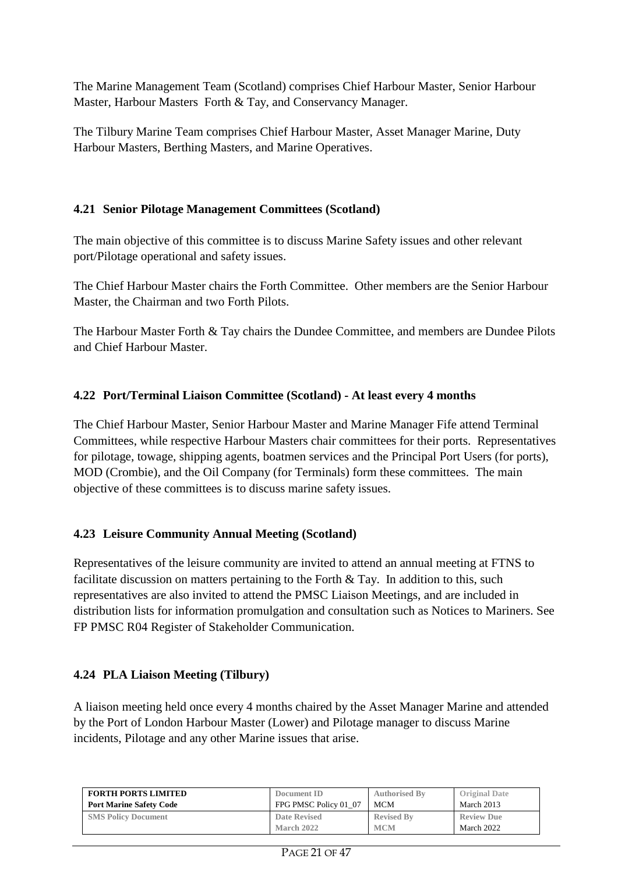The Marine Management Team (Scotland) comprises Chief Harbour Master, Senior Harbour Master, Harbour Masters Forth & Tay, and Conservancy Manager.

The Tilbury Marine Team comprises Chief Harbour Master, Asset Manager Marine, Duty Harbour Masters, Berthing Masters, and Marine Operatives.

### **4.21 Senior Pilotage Management Committees (Scotland)**

The main objective of this committee is to discuss Marine Safety issues and other relevant port/Pilotage operational and safety issues.

The Chief Harbour Master chairs the Forth Committee. Other members are the Senior Harbour Master, the Chairman and two Forth Pilots.

The Harbour Master Forth & Tay chairs the Dundee Committee, and members are Dundee Pilots and Chief Harbour Master.

## **4.22 Port/Terminal Liaison Committee (Scotland) - At least every 4 months**

The Chief Harbour Master, Senior Harbour Master and Marine Manager Fife attend Terminal Committees, while respective Harbour Masters chair committees for their ports. Representatives for pilotage, towage, shipping agents, boatmen services and the Principal Port Users (for ports), MOD (Crombie), and the Oil Company (for Terminals) form these committees. The main objective of these committees is to discuss marine safety issues.

## **4.23 Leisure Community Annual Meeting (Scotland)**

Representatives of the leisure community are invited to attend an annual meeting at FTNS to facilitate discussion on matters pertaining to the Forth & Tay. In addition to this, such representatives are also invited to attend the PMSC Liaison Meetings, and are included in distribution lists for information promulgation and consultation such as Notices to Mariners. See FP PMSC R04 Register of Stakeholder Communication.

## **4.24 PLA Liaison Meeting (Tilbury)**

A liaison meeting held once every 4 months chaired by the Asset Manager Marine and attended by the Port of London Harbour Master (Lower) and Pilotage manager to discuss Marine incidents, Pilotage and any other Marine issues that arise.

| <b>FORTH PORTS LIMITED</b>     | Document ID           | <b>Authorised By</b> | <b>Original Date</b> |
|--------------------------------|-----------------------|----------------------|----------------------|
| <b>Port Marine Safety Code</b> | FPG PMSC Policy 01 07 | MCM                  | March 2013           |
| <b>SMS Policy Document</b>     | Date Revised          | <b>Revised By</b>    | <b>Review Due</b>    |
|                                | March 2022            | <b>MCM</b>           | March 2022           |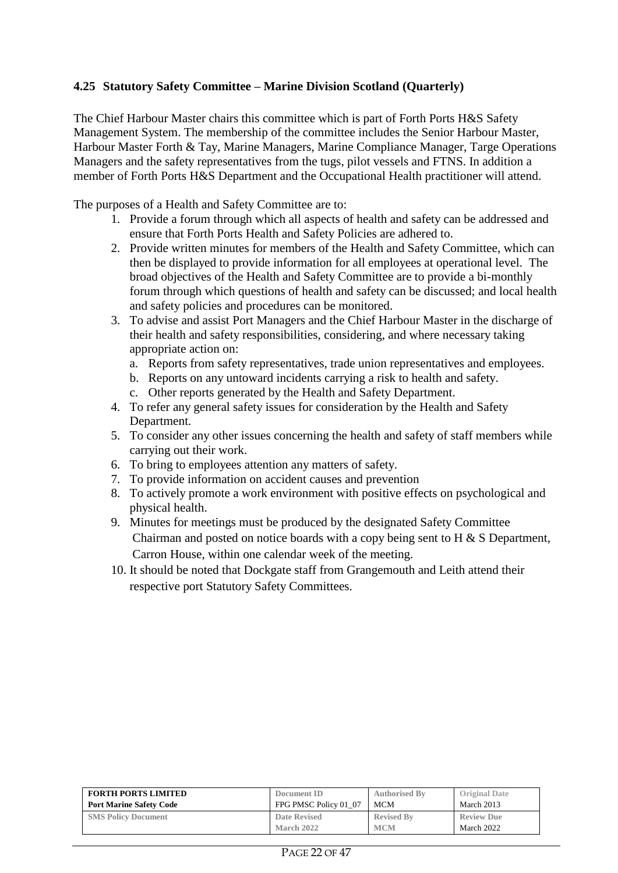#### **4.25 Statutory Safety Committee – Marine Division Scotland (Quarterly)**

The Chief Harbour Master chairs this committee which is part of Forth Ports H&S Safety Management System. The membership of the committee includes the Senior Harbour Master, Harbour Master Forth & Tay, Marine Managers, Marine Compliance Manager, Targe Operations Managers and the safety representatives from the tugs, pilot vessels and FTNS. In addition a member of Forth Ports H&S Department and the Occupational Health practitioner will attend.

The purposes of a Health and Safety Committee are to:

- 1. Provide a forum through which all aspects of health and safety can be addressed and ensure that Forth Ports Health and Safety Policies are adhered to.
- 2. Provide written minutes for members of the Health and Safety Committee, which can then be displayed to provide information for all employees at operational level. The broad objectives of the Health and Safety Committee are to provide a bi-monthly forum through which questions of health and safety can be discussed; and local health and safety policies and procedures can be monitored.
- 3. To advise and assist Port Managers and the Chief Harbour Master in the discharge of their health and safety responsibilities, considering, and where necessary taking appropriate action on:
	- a. Reports from safety representatives, trade union representatives and employees.
	- b. Reports on any untoward incidents carrying a risk to health and safety.
	- c. Other reports generated by the Health and Safety Department.
- 4. To refer any general safety issues for consideration by the Health and Safety Department.
- 5. To consider any other issues concerning the health and safety of staff members while carrying out their work.
- 6. To bring to employees attention any matters of safety.
- 7. To provide information on accident causes and prevention
- 8. To actively promote a work environment with positive effects on psychological and physical health.
- 9. Minutes for meetings must be produced by the designated Safety Committee Chairman and posted on notice boards with a copy being sent to H & S Department, Carron House, within one calendar week of the meeting.
- 10. It should be noted that Dockgate staff from Grangemouth and Leith attend their respective port Statutory Safety Committees.

| <b>FORTH PORTS LIMITED</b>     | Document ID           | <b>Authorised By</b> | <b>Original Date</b> |
|--------------------------------|-----------------------|----------------------|----------------------|
| <b>Port Marine Safety Code</b> | FPG PMSC Policy 01 07 | MCM                  | March 2013           |
| <b>SMS Policy Document</b>     | Date Revised          | <b>Revised By</b>    | <b>Review Due</b>    |
|                                | <b>March 2022</b>     | <b>MCM</b>           | March 2022           |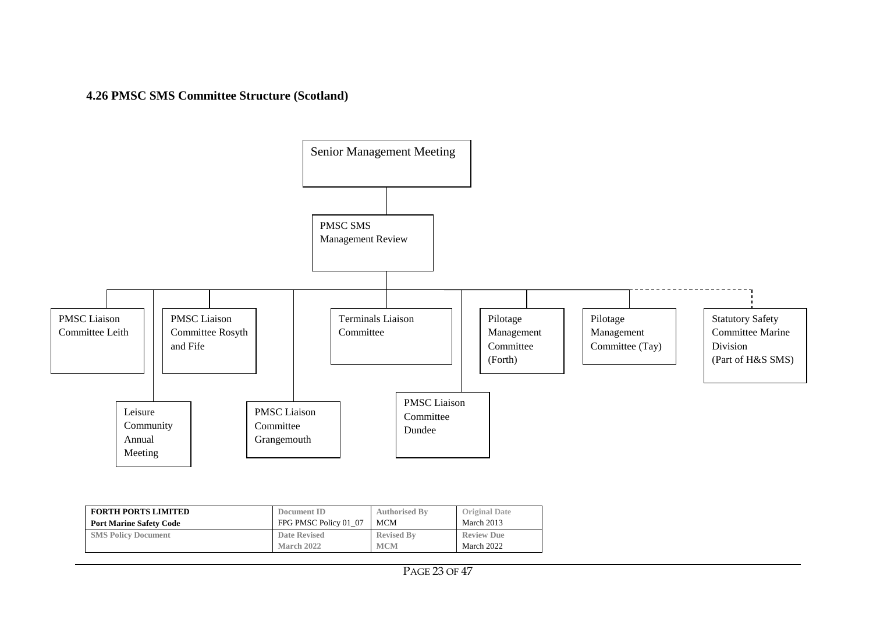**4.26 PMSC SMS Committee Structure (Scotland)**



| <b>FORTH PORTS LIMITED</b>     | Document ID           | <b>Authorised By</b> | <b>Original Date</b> |
|--------------------------------|-----------------------|----------------------|----------------------|
| <b>Port Marine Safety Code</b> | FPG PMSC Policy 01 07 | <b>MCM</b>           | March 2013           |
| <b>SMS Policy Document</b>     | <b>Date Revised</b>   | <b>Revised By</b>    | <b>Review Due</b>    |
|                                | March 2022            | <b>MCM</b>           | March 2022           |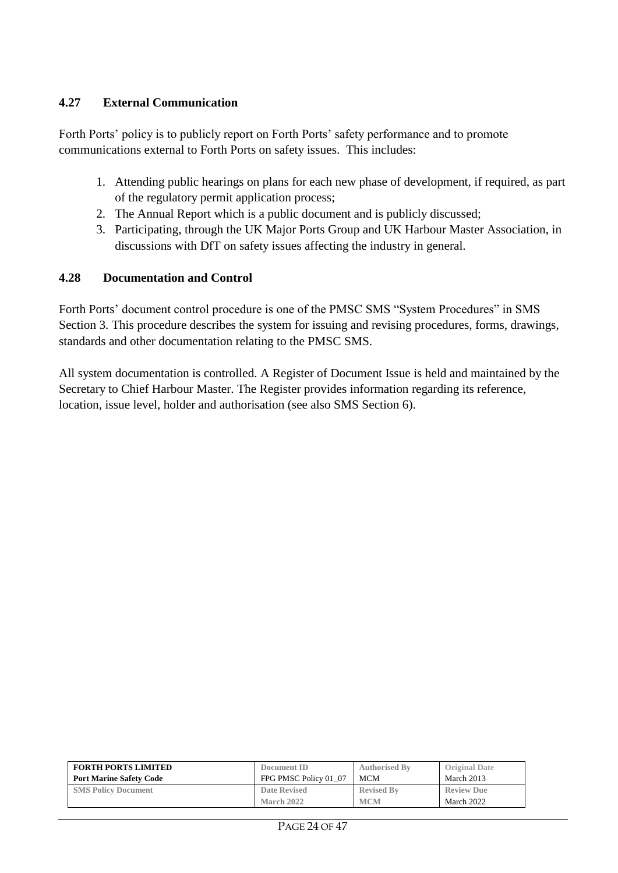#### **4.27 External Communication**

Forth Ports' policy is to publicly report on Forth Ports' safety performance and to promote communications external to Forth Ports on safety issues. This includes:

- 1. Attending public hearings on plans for each new phase of development, if required, as part of the regulatory permit application process;
- 2. The Annual Report which is a public document and is publicly discussed;
- 3. Participating, through the UK Major Ports Group and UK Harbour Master Association, in discussions with DfT on safety issues affecting the industry in general.

#### **4.28 Documentation and Control**

Forth Ports' document control procedure is one of the PMSC SMS "System Procedures" in SMS Section 3. This procedure describes the system for issuing and revising procedures, forms, drawings, standards and other documentation relating to the PMSC SMS.

All system documentation is controlled. A Register of Document Issue is held and maintained by the Secretary to Chief Harbour Master. The Register provides information regarding its reference, location, issue level, holder and authorisation (see also SMS Section 6).

| <b>FORTH PORTS LIMITED</b>     | Document ID           | <b>Authorised By</b> | <b>Original Date</b> |
|--------------------------------|-----------------------|----------------------|----------------------|
| <b>Port Marine Safety Code</b> | FPG PMSC Policy 01 07 | MCM                  | March 2013           |
| <b>SMS Policy Document</b>     | Date Revised          | <b>Revised By</b>    | <b>Review Due</b>    |
|                                | March 2022            | <b>MCM</b>           | March 2022           |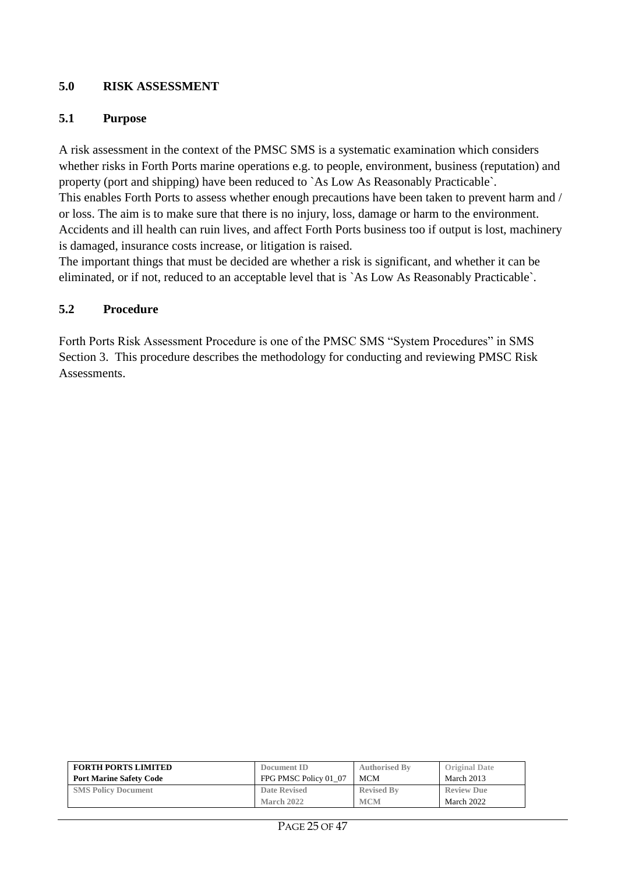#### **5.0 RISK ASSESSMENT**

#### **5.1 Purpose**

A risk assessment in the context of the PMSC SMS is a systematic examination which considers whether risks in Forth Ports marine operations e.g. to people, environment, business (reputation) and property (port and shipping) have been reduced to `As Low As Reasonably Practicable`. This enables Forth Ports to assess whether enough precautions have been taken to prevent harm and / or loss. The aim is to make sure that there is no injury, loss, damage or harm to the environment. Accidents and ill health can ruin lives, and affect Forth Ports business too if output is lost, machinery is damaged, insurance costs increase, or litigation is raised.

The important things that must be decided are whether a risk is significant, and whether it can be eliminated, or if not, reduced to an acceptable level that is `As Low As Reasonably Practicable`.

#### **5.2 Procedure**

Forth Ports Risk Assessment Procedure is one of the PMSC SMS "System Procedures" in SMS Section 3. This procedure describes the methodology for conducting and reviewing PMSC Risk Assessments.

| <b>FORTH PORTS LIMITED</b>     | Document ID           | <b>Authorised By</b> | <b>Original Date</b> |
|--------------------------------|-----------------------|----------------------|----------------------|
| <b>Port Marine Safety Code</b> | FPG PMSC Policy 01 07 | MCM                  | March 2013           |
| <b>SMS Policy Document</b>     | <b>Date Revised</b>   | <b>Revised By</b>    | <b>Review Due</b>    |
|                                | March 2022            | <b>MCM</b>           | March 2022           |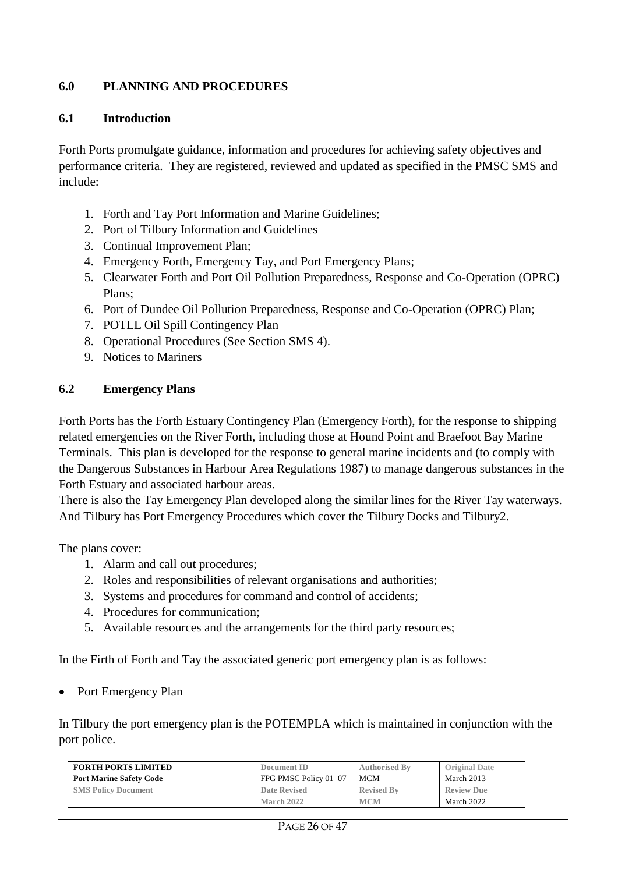### **6.0 PLANNING AND PROCEDURES**

#### **6.1 Introduction**

Forth Ports promulgate guidance, information and procedures for achieving safety objectives and performance criteria. They are registered, reviewed and updated as specified in the PMSC SMS and include:

- 1. Forth and Tay Port Information and Marine Guidelines;
- 2. Port of Tilbury Information and Guidelines
- 3. Continual Improvement Plan;
- 4. Emergency Forth, Emergency Tay, and Port Emergency Plans;
- 5. Clearwater Forth and Port Oil Pollution Preparedness, Response and Co-Operation (OPRC) Plans;
- 6. Port of Dundee Oil Pollution Preparedness, Response and Co-Operation (OPRC) Plan;
- 7. POTLL Oil Spill Contingency Plan
- 8. Operational Procedures (See Section SMS 4).
- 9. Notices to Mariners

#### **6.2 Emergency Plans**

Forth Ports has the Forth Estuary Contingency Plan (Emergency Forth), for the response to shipping related emergencies on the River Forth, including those at Hound Point and Braefoot Bay Marine Terminals. This plan is developed for the response to general marine incidents and (to comply with the Dangerous Substances in Harbour Area Regulations 1987) to manage dangerous substances in the Forth Estuary and associated harbour areas.

There is also the Tay Emergency Plan developed along the similar lines for the River Tay waterways. And Tilbury has Port Emergency Procedures which cover the Tilbury Docks and Tilbury2.

The plans cover:

- 1. Alarm and call out procedures;
- 2. Roles and responsibilities of relevant organisations and authorities;
- 3. Systems and procedures for command and control of accidents;
- 4. Procedures for communication;
- 5. Available resources and the arrangements for the third party resources;

In the Firth of Forth and Tay the associated generic port emergency plan is as follows:

Port Emergency Plan

In Tilbury the port emergency plan is the POTEMPLA which is maintained in conjunction with the port police.

| <b>FORTH PORTS LIMITED</b>     | Document ID           | <b>Authorised By</b> | <b>Original Date</b> |
|--------------------------------|-----------------------|----------------------|----------------------|
| <b>Port Marine Safety Code</b> | FPG PMSC Policy 01 07 | <b>MCM</b>           | March 2013           |
| <b>SMS Policy Document</b>     | <b>Date Revised</b>   | <b>Revised By</b>    | <b>Review Due</b>    |
|                                | March 2022            | <b>MCM</b>           | March 2022           |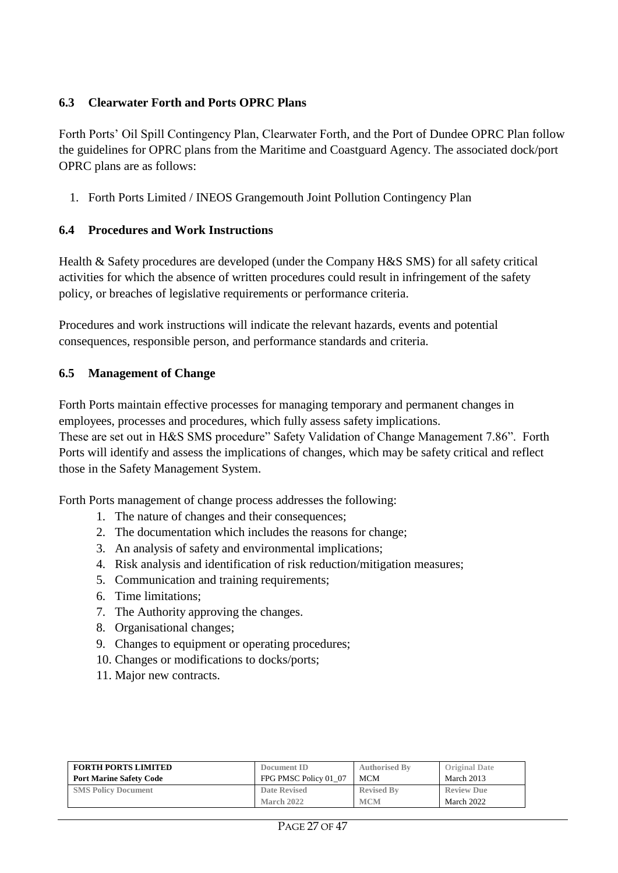#### **6.3 Clearwater Forth and Ports OPRC Plans**

Forth Ports' Oil Spill Contingency Plan, Clearwater Forth, and the Port of Dundee OPRC Plan follow the guidelines for OPRC plans from the Maritime and Coastguard Agency. The associated dock/port OPRC plans are as follows:

1. Forth Ports Limited / INEOS Grangemouth Joint Pollution Contingency Plan

#### **6.4 Procedures and Work Instructions**

Health & Safety procedures are developed (under the Company H&S SMS) for all safety critical activities for which the absence of written procedures could result in infringement of the safety policy, or breaches of legislative requirements or performance criteria.

Procedures and work instructions will indicate the relevant hazards, events and potential consequences, responsible person, and performance standards and criteria.

## **6.5 Management of Change**

Forth Ports maintain effective processes for managing temporary and permanent changes in employees, processes and procedures, which fully assess safety implications. These are set out in H&S SMS procedure" Safety Validation of Change Management 7.86". Forth Ports will identify and assess the implications of changes, which may be safety critical and reflect those in the Safety Management System.

Forth Ports management of change process addresses the following:

- 1. The nature of changes and their consequences;
- 2. The documentation which includes the reasons for change;
- 3. An analysis of safety and environmental implications;
- 4. Risk analysis and identification of risk reduction/mitigation measures;
- 5. Communication and training requirements;
- 6. Time limitations;
- 7. The Authority approving the changes.
- 8. Organisational changes;
- 9. Changes to equipment or operating procedures;
- 10. Changes or modifications to docks/ports;
- 11. Major new contracts.

| <b>FORTH PORTS LIMITED</b>     | Document ID           | <b>Authorised By</b> | <b>Original Date</b> |
|--------------------------------|-----------------------|----------------------|----------------------|
| <b>Port Marine Safety Code</b> | FPG PMSC Policy 01 07 | <b>MCM</b>           | March 2013           |
| <b>SMS Policy Document</b>     | Date Revised          | <b>Revised By</b>    | <b>Review Due</b>    |
|                                | March 2022            | <b>MCM</b>           | March 2022           |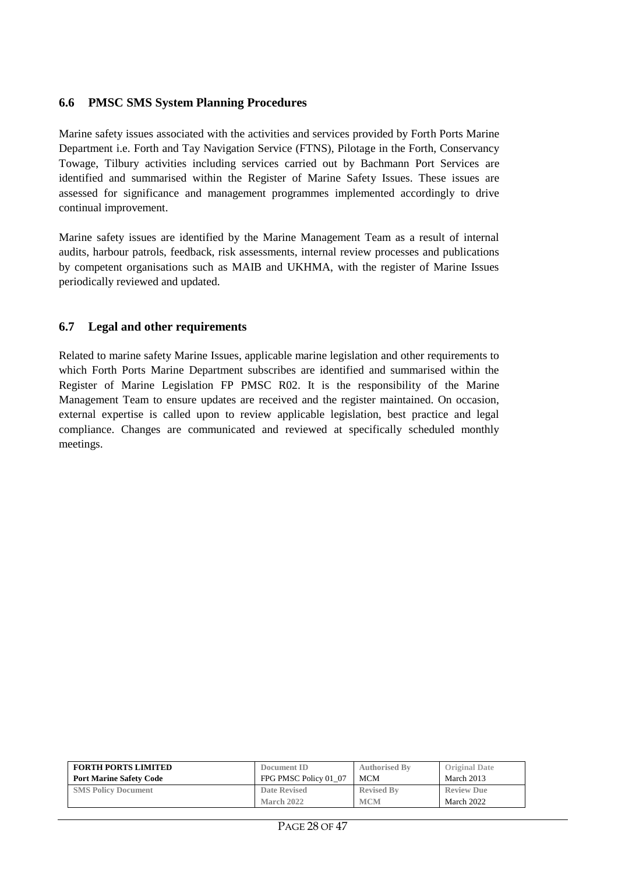#### **6.6 PMSC SMS System Planning Procedures**

Marine safety issues associated with the activities and services provided by Forth Ports Marine Department i.e. Forth and Tay Navigation Service (FTNS), Pilotage in the Forth, Conservancy Towage, Tilbury activities including services carried out by Bachmann Port Services are identified and summarised within the Register of Marine Safety Issues. These issues are assessed for significance and management programmes implemented accordingly to drive continual improvement.

Marine safety issues are identified by the Marine Management Team as a result of internal audits, harbour patrols, feedback, risk assessments, internal review processes and publications by competent organisations such as MAIB and UKHMA, with the register of Marine Issues periodically reviewed and updated.

#### **6.7 Legal and other requirements**

Related to marine safety Marine Issues, applicable marine legislation and other requirements to which Forth Ports Marine Department subscribes are identified and summarised within the Register of Marine Legislation FP PMSC R02. It is the responsibility of the Marine Management Team to ensure updates are received and the register maintained. On occasion, external expertise is called upon to review applicable legislation, best practice and legal compliance. Changes are communicated and reviewed at specifically scheduled monthly meetings.

| <b>FORTH PORTS LIMITED</b>     | Document ID           | <b>Authorised By</b> | <b>Original Date</b> |
|--------------------------------|-----------------------|----------------------|----------------------|
| <b>Port Marine Safety Code</b> | FPG PMSC Policy 01 07 | MCM                  | March 2013           |
| <b>SMS Policy Document</b>     | <b>Date Revised</b>   | <b>Revised By</b>    | <b>Review Due</b>    |
|                                | March 2022            | <b>MCM</b>           | March 2022           |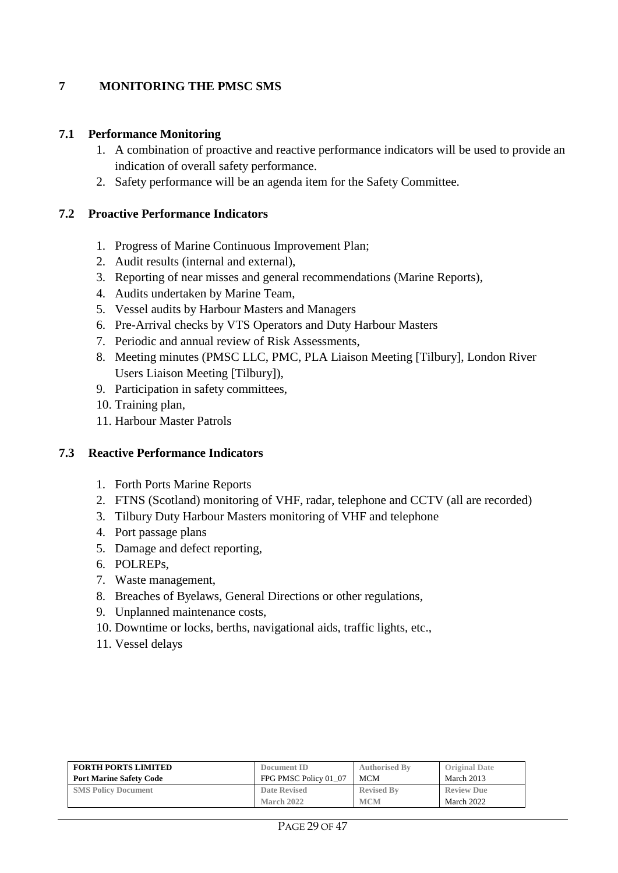#### **7 MONITORING THE PMSC SMS**

#### **7.1 Performance Monitoring**

- 1. A combination of proactive and reactive performance indicators will be used to provide an indication of overall safety performance.
- 2. Safety performance will be an agenda item for the Safety Committee.

#### **7.2 Proactive Performance Indicators**

- 1. Progress of Marine Continuous Improvement Plan;
- 2. Audit results (internal and external),
- 3. Reporting of near misses and general recommendations (Marine Reports),
- 4. Audits undertaken by Marine Team,
- 5. Vessel audits by Harbour Masters and Managers
- 6. Pre-Arrival checks by VTS Operators and Duty Harbour Masters
- 7. Periodic and annual review of Risk Assessments,
- 8. Meeting minutes (PMSC LLC, PMC, PLA Liaison Meeting [Tilbury], London River Users Liaison Meeting [Tilbury]),
- 9. Participation in safety committees,
- 10. Training plan,
- 11. Harbour Master Patrols

#### **7.3 Reactive Performance Indicators**

- 1. Forth Ports Marine Reports
- 2. FTNS (Scotland) monitoring of VHF, radar, telephone and CCTV (all are recorded)
- 3. Tilbury Duty Harbour Masters monitoring of VHF and telephone
- 4. Port passage plans
- 5. Damage and defect reporting,
- 6. POLREPs,
- 7. Waste management,
- 8. Breaches of Byelaws, General Directions or other regulations,
- 9. Unplanned maintenance costs,
- 10. Downtime or locks, berths, navigational aids, traffic lights, etc.,
- 11. Vessel delays

| <b>FORTH PORTS LIMITED</b>     | Document ID           | <b>Authorised By</b> | <b>Original Date</b> |
|--------------------------------|-----------------------|----------------------|----------------------|
| <b>Port Marine Safety Code</b> | FPG PMSC Policy 01 07 | <b>MCM</b>           | March 2013           |
| <b>SMS Policy Document</b>     | <b>Date Revised</b>   | <b>Revised By</b>    | <b>Review Due</b>    |
|                                | March 2022            | <b>MCM</b>           | March 2022           |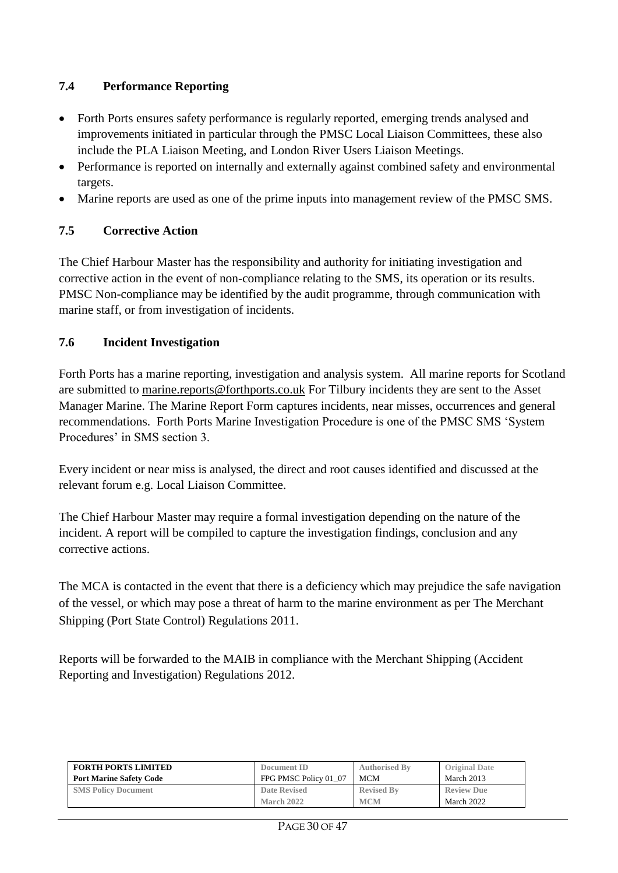## **7.4 Performance Reporting**

- Forth Ports ensures safety performance is regularly reported, emerging trends analysed and improvements initiated in particular through the PMSC Local Liaison Committees, these also include the PLA Liaison Meeting, and London River Users Liaison Meetings.
- Performance is reported on internally and externally against combined safety and environmental targets.
- Marine reports are used as one of the prime inputs into management review of the PMSC SMS.

## **7.5 Corrective Action**

The Chief Harbour Master has the responsibility and authority for initiating investigation and corrective action in the event of non-compliance relating to the SMS, its operation or its results. PMSC Non-compliance may be identified by the audit programme, through communication with marine staff, or from investigation of incidents.

#### **7.6 Incident Investigation**

Forth Ports has a marine reporting, investigation and analysis system. All marine reports for Scotland are submitted to [marine.reports@forthports.co.uk](mailto:marine.reports@forthports.co.uk) For Tilbury incidents they are sent to the Asset Manager Marine. The Marine Report Form captures incidents, near misses, occurrences and general recommendations. Forth Ports Marine Investigation Procedure is one of the PMSC SMS 'System Procedures' in SMS section 3.

Every incident or near miss is analysed, the direct and root causes identified and discussed at the relevant forum e.g. Local Liaison Committee.

The Chief Harbour Master may require a formal investigation depending on the nature of the incident. A report will be compiled to capture the investigation findings, conclusion and any corrective actions.

The MCA is contacted in the event that there is a deficiency which may prejudice the safe navigation of the vessel, or which may pose a threat of harm to the marine environment as per The Merchant Shipping (Port State Control) Regulations 2011.

Reports will be forwarded to the MAIB in compliance with the Merchant Shipping (Accident Reporting and Investigation) Regulations 2012.

| <b>FORTH PORTS LIMITED</b>     | Document ID           | <b>Authorised By</b> | <b>Original Date</b> |
|--------------------------------|-----------------------|----------------------|----------------------|
| <b>Port Marine Safety Code</b> | FPG PMSC Policy 01 07 | <b>MCM</b>           | March 2013           |
| <b>SMS Policy Document</b>     | <b>Date Revised</b>   | <b>Revised By</b>    | <b>Review Due</b>    |
|                                | March 2022            | <b>MCM</b>           | March 2022           |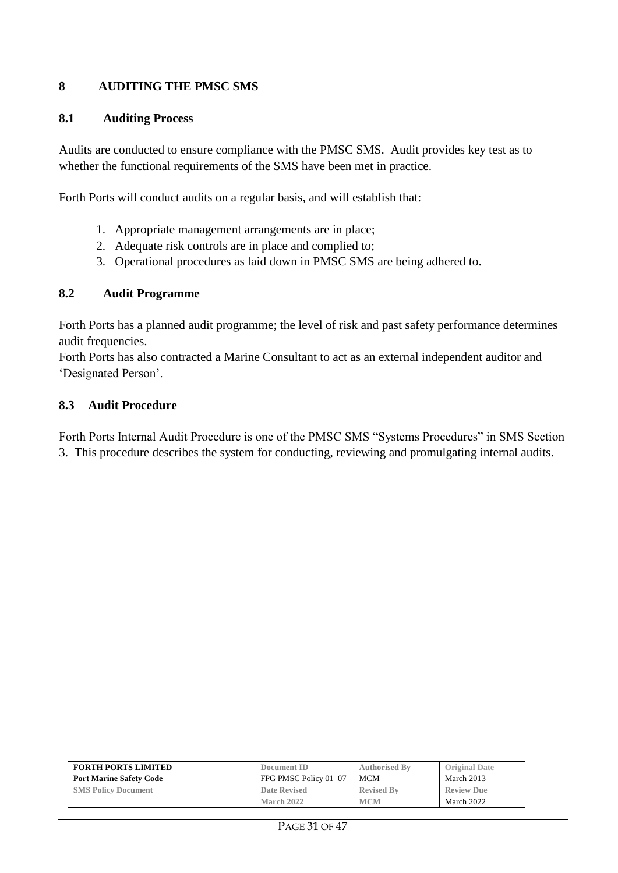#### **8 AUDITING THE PMSC SMS**

#### **8.1 Auditing Process**

Audits are conducted to ensure compliance with the PMSC SMS. Audit provides key test as to whether the functional requirements of the SMS have been met in practice.

Forth Ports will conduct audits on a regular basis, and will establish that:

- 1. Appropriate management arrangements are in place;
- 2. Adequate risk controls are in place and complied to;
- 3. Operational procedures as laid down in PMSC SMS are being adhered to.

#### **8.2 Audit Programme**

Forth Ports has a planned audit programme; the level of risk and past safety performance determines audit frequencies.

Forth Ports has also contracted a Marine Consultant to act as an external independent auditor and 'Designated Person'.

#### **8.3 Audit Procedure**

Forth Ports Internal Audit Procedure is one of the PMSC SMS "Systems Procedures" in SMS Section 3. This procedure describes the system for conducting, reviewing and promulgating internal audits.

| <b>FORTH PORTS LIMITED</b>     | Document ID           | <b>Authorised By</b> | <b>Original Date</b> |
|--------------------------------|-----------------------|----------------------|----------------------|
| <b>Port Marine Safety Code</b> | FPG PMSC Policy 01 07 | <b>MCM</b>           | March 2013           |
| <b>SMS Policy Document</b>     | Date Revised          | <b>Revised By</b>    | <b>Review Due</b>    |
|                                | March 2022            | <b>MCM</b>           | March 2022           |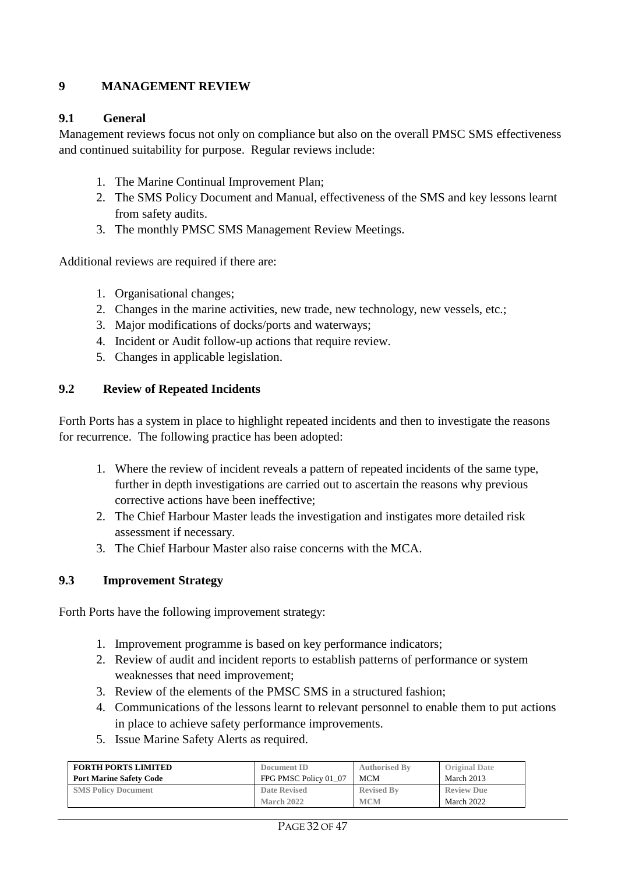#### **9 MANAGEMENT REVIEW**

#### **9.1 General**

Management reviews focus not only on compliance but also on the overall PMSC SMS effectiveness and continued suitability for purpose. Regular reviews include:

- 1. The Marine Continual Improvement Plan;
- 2. The SMS Policy Document and Manual, effectiveness of the SMS and key lessons learnt from safety audits.
- 3. The monthly PMSC SMS Management Review Meetings.

Additional reviews are required if there are:

- 1. Organisational changes;
- 2. Changes in the marine activities, new trade, new technology, new vessels, etc.;
- 3. Major modifications of docks/ports and waterways;
- 4. Incident or Audit follow-up actions that require review.
- 5. Changes in applicable legislation.

#### **9.2 Review of Repeated Incidents**

Forth Ports has a system in place to highlight repeated incidents and then to investigate the reasons for recurrence. The following practice has been adopted:

- 1. Where the review of incident reveals a pattern of repeated incidents of the same type, further in depth investigations are carried out to ascertain the reasons why previous corrective actions have been ineffective;
- 2. The Chief Harbour Master leads the investigation and instigates more detailed risk assessment if necessary.
- 3. The Chief Harbour Master also raise concerns with the MCA.

#### **9.3 Improvement Strategy**

Forth Ports have the following improvement strategy:

- 1. Improvement programme is based on key performance indicators;
- 2. Review of audit and incident reports to establish patterns of performance or system weaknesses that need improvement;
- 3. Review of the elements of the PMSC SMS in a structured fashion;
- 4. Communications of the lessons learnt to relevant personnel to enable them to put actions in place to achieve safety performance improvements.
- 5. Issue Marine Safety Alerts as required.

| <b>FORTH PORTS LIMITED</b>     | Document ID           | <b>Authorised By</b> | <b>Original Date</b> |
|--------------------------------|-----------------------|----------------------|----------------------|
| <b>Port Marine Safety Code</b> | FPG PMSC Policy 01 07 | <b>MCM</b>           | March 2013           |
| <b>SMS Policy Document</b>     | <b>Date Revised</b>   | <b>Revised By</b>    | <b>Review Due</b>    |
|                                | March 2022            | <b>MCM</b>           | March 2022           |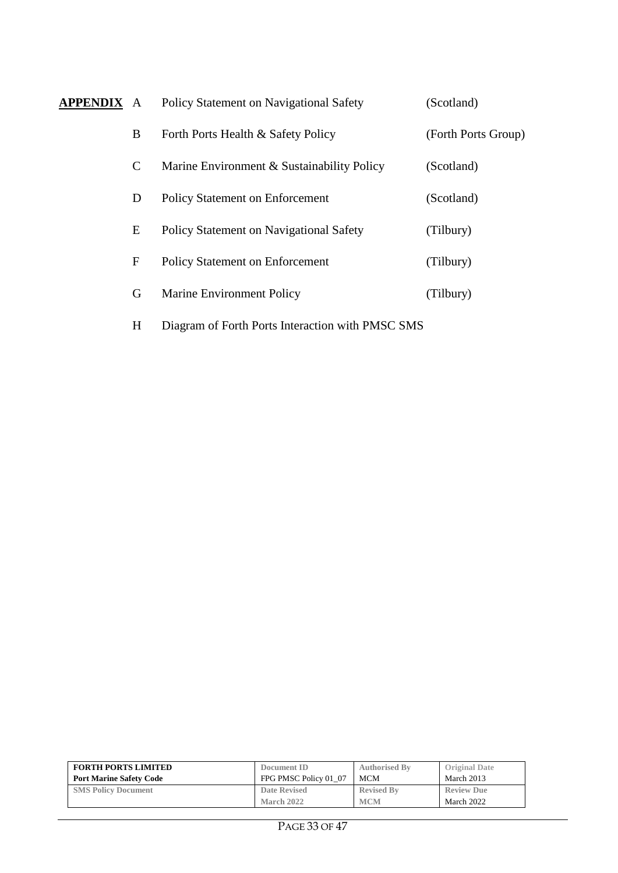| <b>APPENDIX A</b> |              | Policy Statement on Navigational Safety          | (Scotland)          |
|-------------------|--------------|--------------------------------------------------|---------------------|
|                   | B            | Forth Ports Health & Safety Policy               | (Forth Ports Group) |
|                   | $\mathsf{C}$ | Marine Environment & Sustainability Policy       | (Scotland)          |
|                   | D            | <b>Policy Statement on Enforcement</b>           | (Scotland)          |
|                   | E            | Policy Statement on Navigational Safety          | (Tilbury)           |
|                   | $\mathbf F$  | <b>Policy Statement on Enforcement</b>           | (Tilbury)           |
|                   | G            | <b>Marine Environment Policy</b>                 | (Tilbury)           |
|                   | H            | Diagram of Forth Ports Interaction with PMSC SMS |                     |

| <b>FORTH PORTS LIMITED</b>     | Document ID           | <b>Authorised By</b> | <b>Original Date</b> |
|--------------------------------|-----------------------|----------------------|----------------------|
| <b>Port Marine Safety Code</b> | FPG PMSC Policy 01 07 | <b>MCM</b>           | March 2013           |
| <b>SMS Policy Document</b>     | Date Revised          | <b>Revised By</b>    | <b>Review Due</b>    |
|                                | March 2022            | <b>MCM</b>           | March 2022           |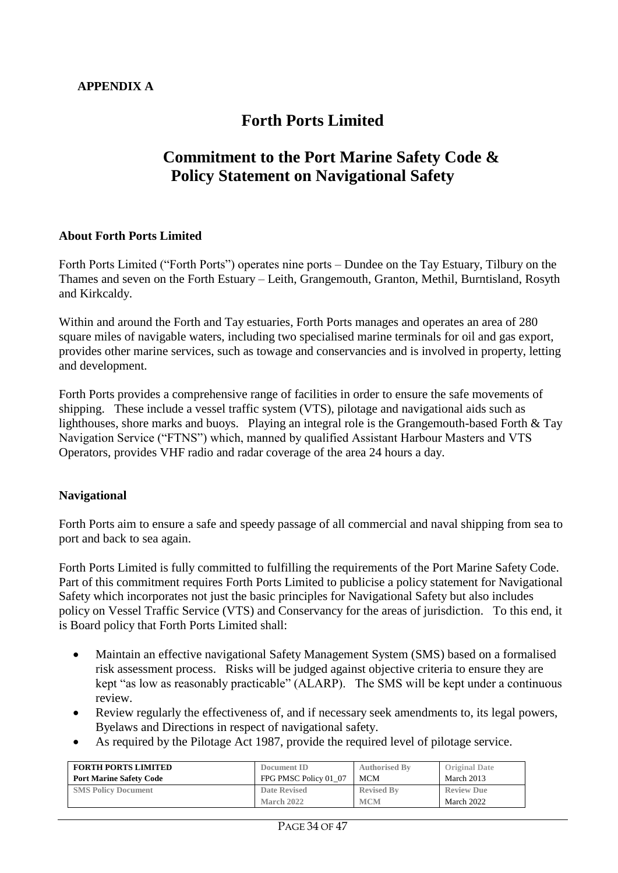## **Forth Ports Limited**

## **Commitment to the Port Marine Safety Code & Policy Statement on Navigational Safety**

#### **About Forth Ports Limited**

Forth Ports Limited ("Forth Ports") operates nine ports – Dundee on the Tay Estuary, Tilbury on the Thames and seven on the Forth Estuary – Leith, Grangemouth, Granton, Methil, Burntisland, Rosyth and Kirkcaldy.

Within and around the Forth and Tay estuaries, Forth Ports manages and operates an area of 280 square miles of navigable waters, including two specialised marine terminals for oil and gas export, provides other marine services, such as towage and conservancies and is involved in property, letting and development.

Forth Ports provides a comprehensive range of facilities in order to ensure the safe movements of shipping. These include a vessel traffic system (VTS), pilotage and navigational aids such as lighthouses, shore marks and buoys. Playing an integral role is the Grangemouth-based Forth & Tay Navigation Service ("FTNS") which, manned by qualified Assistant Harbour Masters and VTS Operators, provides VHF radio and radar coverage of the area 24 hours a day.

#### **Navigational**

Forth Ports aim to ensure a safe and speedy passage of all commercial and naval shipping from sea to port and back to sea again.

Forth Ports Limited is fully committed to fulfilling the requirements of the Port Marine Safety Code. Part of this commitment requires Forth Ports Limited to publicise a policy statement for Navigational Safety which incorporates not just the basic principles for Navigational Safety but also includes policy on Vessel Traffic Service (VTS) and Conservancy for the areas of jurisdiction. To this end, it is Board policy that Forth Ports Limited shall:

- Maintain an effective navigational Safety Management System (SMS) based on a formalised risk assessment process. Risks will be judged against objective criteria to ensure they are kept "as low as reasonably practicable" (ALARP). The SMS will be kept under a continuous review.
- Review regularly the effectiveness of, and if necessary seek amendments to, its legal powers, Byelaws and Directions in respect of navigational safety.
- As required by the Pilotage Act 1987, provide the required level of pilotage service.

| <b>FORTH PORTS LIMITED</b>     | Document ID           | <b>Authorised By</b> | <b>Original Date</b> |
|--------------------------------|-----------------------|----------------------|----------------------|
| <b>Port Marine Safety Code</b> | FPG PMSC Policy 01 07 | <b>MCM</b>           | March 2013           |
| <b>SMS Policy Document</b>     | Date Revised          | <b>Revised By</b>    | <b>Review Due</b>    |
|                                | March 2022            | <b>MCM</b>           | March 2022           |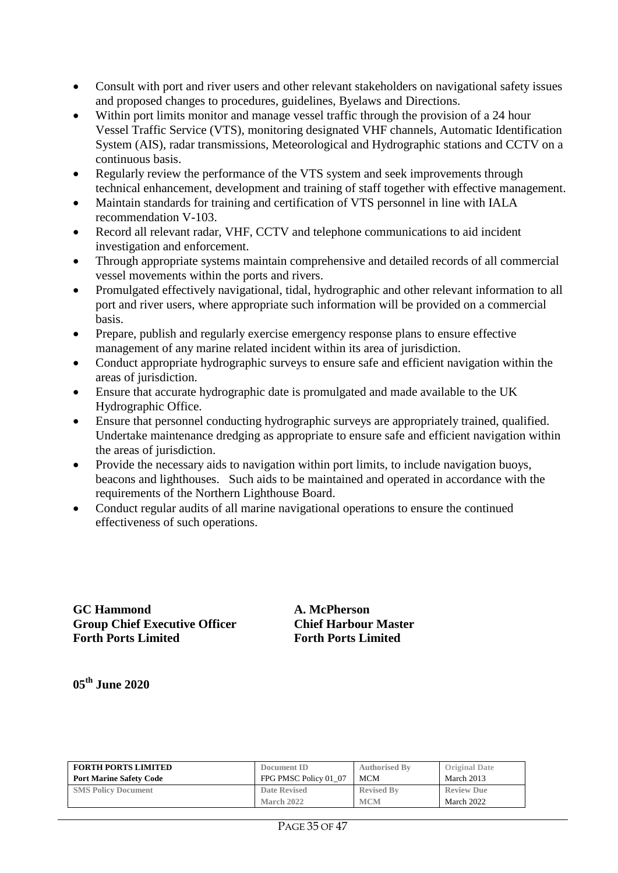- Consult with port and river users and other relevant stakeholders on navigational safety issues and proposed changes to procedures, guidelines, Byelaws and Directions.
- Within port limits monitor and manage vessel traffic through the provision of a 24 hour Vessel Traffic Service (VTS), monitoring designated VHF channels, Automatic Identification System (AIS), radar transmissions, Meteorological and Hydrographic stations and CCTV on a continuous basis.
- Regularly review the performance of the VTS system and seek improvements through technical enhancement, development and training of staff together with effective management.
- Maintain standards for training and certification of VTS personnel in line with IALA recommendation V-103.
- Record all relevant radar, VHF, CCTV and telephone communications to aid incident investigation and enforcement.
- Through appropriate systems maintain comprehensive and detailed records of all commercial vessel movements within the ports and rivers.
- Promulgated effectively navigational, tidal, hydrographic and other relevant information to all port and river users, where appropriate such information will be provided on a commercial basis.
- Prepare, publish and regularly exercise emergency response plans to ensure effective management of any marine related incident within its area of jurisdiction.
- Conduct appropriate hydrographic surveys to ensure safe and efficient navigation within the areas of jurisdiction.
- Ensure that accurate hydrographic date is promulgated and made available to the UK Hydrographic Office.
- Ensure that personnel conducting hydrographic surveys are appropriately trained, qualified. Undertake maintenance dredging as appropriate to ensure safe and efficient navigation within the areas of jurisdiction.
- Provide the necessary aids to navigation within port limits, to include navigation buoys, beacons and lighthouses. Such aids to be maintained and operated in accordance with the requirements of the Northern Lighthouse Board.
- Conduct regular audits of all marine navigational operations to ensure the continued effectiveness of such operations.

**GC Hammond A. McPherson Group Chief Executive Officer Chief Harbour Master Forth Ports Limited Forth Ports Limited**

**05th June 2020**

| <b>FORTH PORTS LIMITED</b>     | Document ID           | <b>Authorised By</b> | <b>Original Date</b> |
|--------------------------------|-----------------------|----------------------|----------------------|
| <b>Port Marine Safety Code</b> | FPG PMSC Policy 01 07 | <b>MCM</b>           | March 2013           |
| <b>SMS Policy Document</b>     | <b>Date Revised</b>   | <b>Revised By</b>    | <b>Review Due</b>    |
|                                | March 2022            | <b>MCM</b>           | March 2022           |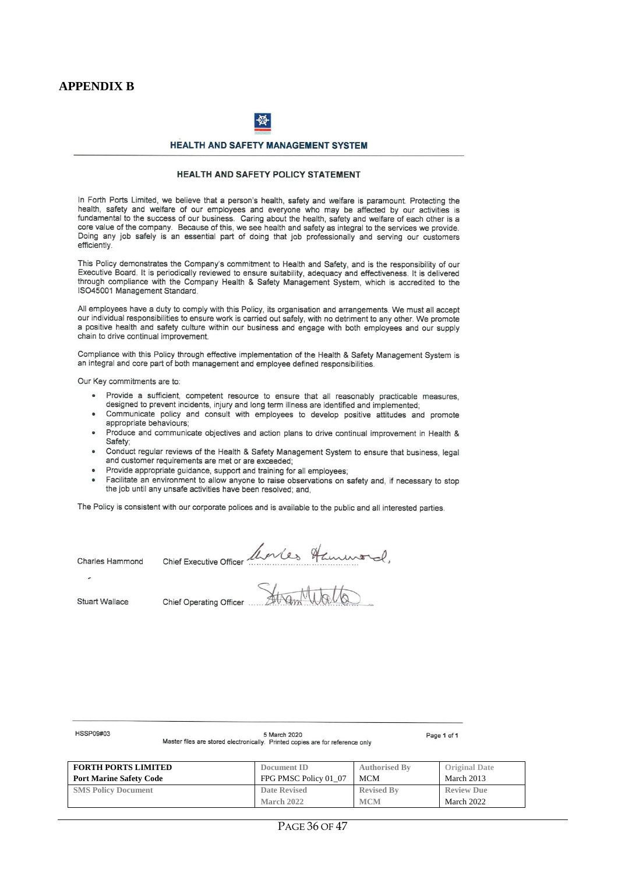#### **APPENDIX B**



#### **HEALTH AND SAFETY MANAGEMENT SYSTEM**

#### HEALTH AND SAFETY POLICY STATEMENT

In Forth Ports Limited, we believe that a person's health, safety and welfare is paramount. Protecting the health, safety and welfare of our employees and everyone who may be affected by our activities is fundamental to the success of our business. Caring about the health, safety and welfare of each other is a core value of the company. Because of this, we see health and safety as integral to the services we provide. Doing any job safely is an essential part of doing that job professionally and serving our customers efficiently

This Policy demonstrates the Company's commitment to Health and Safety, and is the responsibility of our Executive Board. It is periodically reviewed to ensure suitability, adequacy and effectiveness. It is delivered through compliance with the Company Health & Safety Management System, which is accredited to the ISO45001 Management Standard.

All employees have a duty to comply with this Policy, its organisation and arrangements. We must all accept our individual responsibilities to ensure work is carried out safely, with no detriment to any other. We promote a positive health and safety culture within our business and engage with both employees and our supply chain to drive continual improvement.

Compliance with this Policy through effective implementation of the Health & Safety Management System is an integral and core part of both management and employee defined responsibilities.

Our Key commitments are to:

- Provide a sufficient, competent resource to ensure that all reasonably practicable measures, designed to prevent incidents, injury and long term illness are identified and implemented;
- Communicate policy and consult with employees to develop positive attitudes and promote appropriate behaviours;
- Produce and communicate objectives and action plans to drive continual improvement in Health & Safety:
- Conduct regular reviews of the Health & Safety Management System to ensure that business. legal and customer requirements are met or are exceeded;
- Provide appropriate guidance, support and training for all employees;
- Facilitate an environment to allow anyone to raise observations on safety and, if necessary to stop the job until any unsafe activities have been resolved; and,

The Policy is consistent with our corporate polices and is available to the public and all interested parties.

**Charles Hammond** 

Chief Executive Officer Alerles Hammond.

**Stuart Wallace** 

**HSSP09#03** 

**FORTH PORTS LIMITED Port Marine Safety Code Document ID** FPG PMSC Policy 01\_07 **Authorised By** MCM **Original Date** March 2013 **SMS Policy Document Date Revised March 2022 Revised By MCM Review Due** March 2022

5 March 2020

Master files are stored electronically. Printed copies are for reference only

Page 1 of 1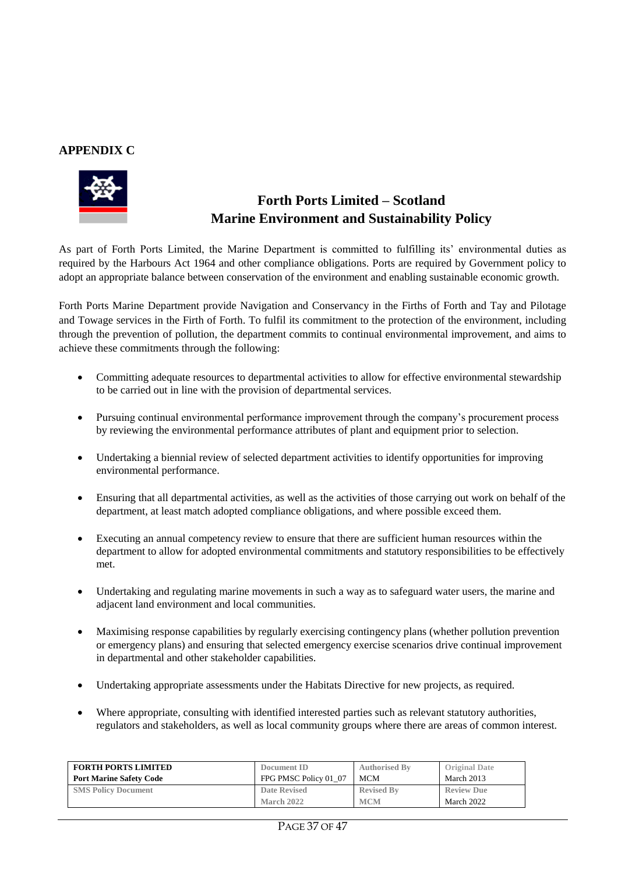#### **APPENDIX C**



## **Forth Ports Limited – Scotland Marine Environment and Sustainability Policy**

As part of Forth Ports Limited, the Marine Department is committed to fulfilling its' environmental duties as required by the Harbours Act 1964 and other compliance obligations. Ports are required by Government policy to adopt an appropriate balance between conservation of the environment and enabling sustainable economic growth.

Forth Ports Marine Department provide Navigation and Conservancy in the Firths of Forth and Tay and Pilotage and Towage services in the Firth of Forth. To fulfil its commitment to the protection of the environment, including through the prevention of pollution, the department commits to continual environmental improvement, and aims to achieve these commitments through the following:

- Committing adequate resources to departmental activities to allow for effective environmental stewardship to be carried out in line with the provision of departmental services.
- Pursuing continual environmental performance improvement through the company's procurement process by reviewing the environmental performance attributes of plant and equipment prior to selection.
- Undertaking a biennial review of selected department activities to identify opportunities for improving environmental performance.
- Ensuring that all departmental activities, as well as the activities of those carrying out work on behalf of the department, at least match adopted compliance obligations, and where possible exceed them.
- Executing an annual competency review to ensure that there are sufficient human resources within the department to allow for adopted environmental commitments and statutory responsibilities to be effectively met.
- Undertaking and regulating marine movements in such a way as to safeguard water users, the marine and adjacent land environment and local communities.
- Maximising response capabilities by regularly exercising contingency plans (whether pollution prevention or emergency plans) and ensuring that selected emergency exercise scenarios drive continual improvement in departmental and other stakeholder capabilities.
- Undertaking appropriate assessments under the Habitats Directive for new projects, as required.
- Where appropriate, consulting with identified interested parties such as relevant statutory authorities, regulators and stakeholders, as well as local community groups where there are areas of common interest.

| <b>FORTH PORTS LIMITED</b>     | Document ID           | <b>Authorised By</b> | <b>Original Date</b> |
|--------------------------------|-----------------------|----------------------|----------------------|
| <b>Port Marine Safety Code</b> | FPG PMSC Policy 01 07 | <b>MCM</b>           | March 2013           |
| <b>SMS Policy Document</b>     | Date Revised          | <b>Revised By</b>    | <b>Review Due</b>    |
|                                | March 2022            | <b>MCM</b>           | March 2022           |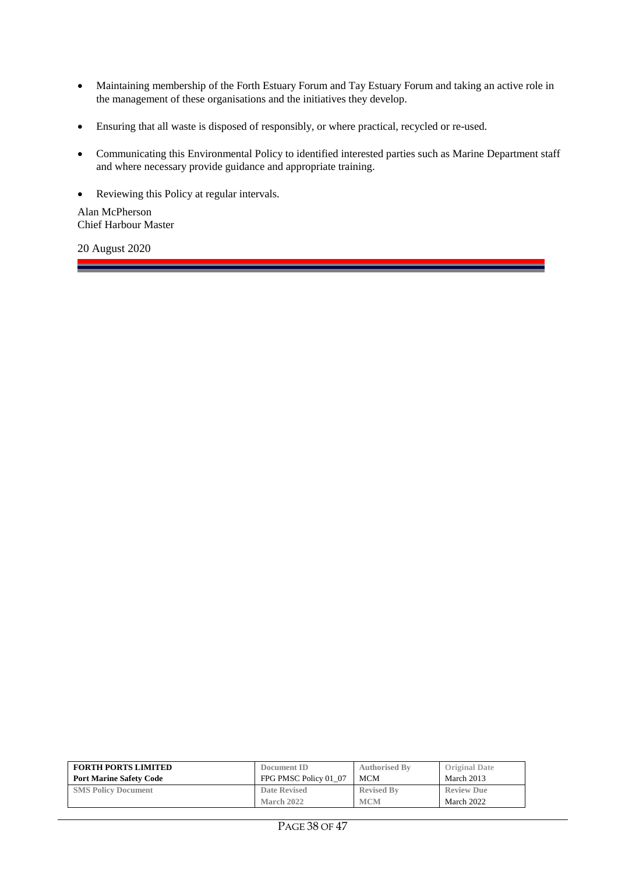- Maintaining membership of the Forth Estuary Forum and Tay Estuary Forum and taking an active role in the management of these organisations and the initiatives they develop.
- Ensuring that all waste is disposed of responsibly, or where practical, recycled or re-used.
- Communicating this Environmental Policy to identified interested parties such as Marine Department staff and where necessary provide guidance and appropriate training.

Reviewing this Policy at regular intervals.

Alan McPherson Chief Harbour Master

\_\_\_\_\_

20 August 2020

| <b>FORTH PORTS LIMITED</b>     | Document ID           | <b>Authorised By</b> | <b>Original Date</b> |
|--------------------------------|-----------------------|----------------------|----------------------|
| <b>Port Marine Safety Code</b> | FPG PMSC Policy 01 07 | <b>MCM</b>           | March 2013           |
| <b>SMS Policy Document</b>     | <b>Date Revised</b>   | <b>Revised By</b>    | <b>Review Due</b>    |
|                                | March 2022            | <b>MCM</b>           | March 2022           |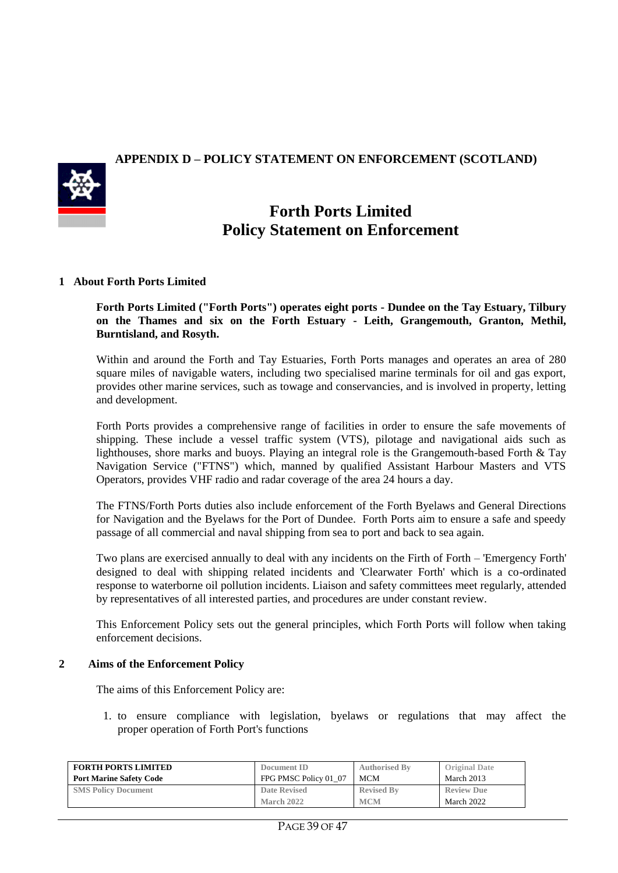#### **APPENDIX D – POLICY STATEMENT ON ENFORCEMENT (SCOTLAND)**



## **Forth Ports Limited Policy Statement on Enforcement**

#### **1 About Forth Ports Limited**

**Forth Ports Limited ("Forth Ports") operates eight ports - Dundee on the Tay Estuary, Tilbury on the Thames and six on the Forth Estuary - Leith, Grangemouth, Granton, Methil, Burntisland, and Rosyth.** 

Within and around the Forth and Tay Estuaries, Forth Ports manages and operates an area of 280 square miles of navigable waters, including two specialised marine terminals for oil and gas export, provides other marine services, such as towage and conservancies, and is involved in property, letting and development.

Forth Ports provides a comprehensive range of facilities in order to ensure the safe movements of shipping. These include a vessel traffic system (VTS), pilotage and navigational aids such as lighthouses, shore marks and buoys. Playing an integral role is the Grangemouth-based Forth & Tay Navigation Service ("FTNS") which, manned by qualified Assistant Harbour Masters and VTS Operators, provides VHF radio and radar coverage of the area 24 hours a day.

The FTNS/Forth Ports duties also include enforcement of the Forth Byelaws and General Directions for Navigation and the Byelaws for the Port of Dundee. Forth Ports aim to ensure a safe and speedy passage of all commercial and naval shipping from sea to port and back to sea again.

Two plans are exercised annually to deal with any incidents on the Firth of Forth – 'Emergency Forth' designed to deal with shipping related incidents and 'Clearwater Forth' which is a co-ordinated response to waterborne oil pollution incidents. Liaison and safety committees meet regularly, attended by representatives of all interested parties, and procedures are under constant review.

This Enforcement Policy sets out the general principles, which Forth Ports will follow when taking enforcement decisions.

#### **2 Aims of the Enforcement Policy**

The aims of this Enforcement Policy are:

1. to ensure compliance with legislation, byelaws or regulations that may affect the proper operation of Forth Port's functions

| <b>FORTH PORTS LIMITED</b>     | Document ID           | <b>Authorised By</b> | <b>Original Date</b> |
|--------------------------------|-----------------------|----------------------|----------------------|
| <b>Port Marine Safety Code</b> | FPG PMSC Policy 01 07 | <b>MCM</b>           | March 2013           |
| <b>SMS Policy Document</b>     | <b>Date Revised</b>   | <b>Revised By</b>    | <b>Review Due</b>    |
|                                | March 2022            | <b>MCM</b>           | March 2022           |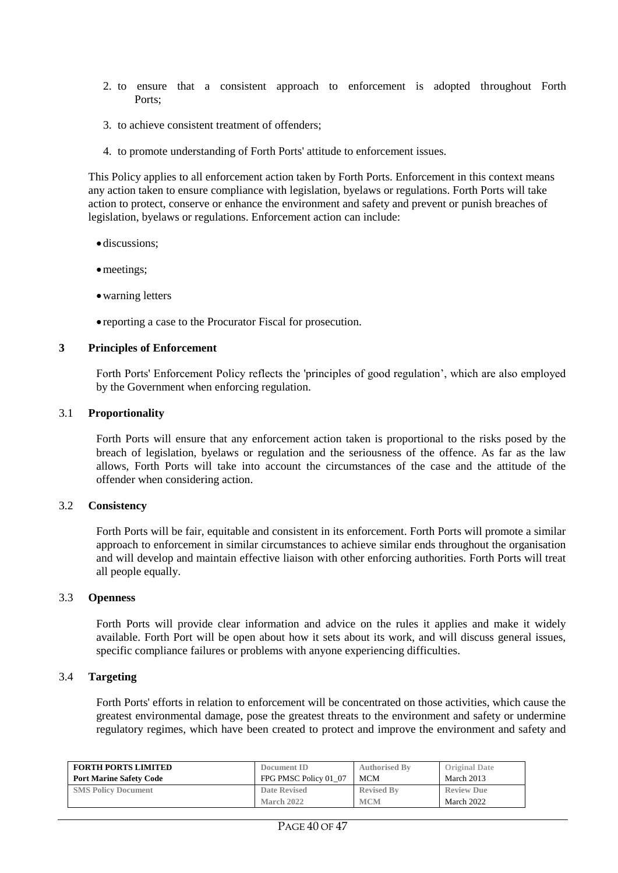- 2. to ensure that a consistent approach to enforcement is adopted throughout Forth Ports;
- 3. to achieve consistent treatment of offenders;
- 4. to promote understanding of Forth Ports' attitude to enforcement issues.

This Policy applies to all enforcement action taken by Forth Ports. Enforcement in this context means any action taken to ensure compliance with legislation, byelaws or regulations. Forth Ports will take action to protect, conserve or enhance the environment and safety and prevent or punish breaches of legislation, byelaws or regulations. Enforcement action can include:

- discussions;
- meetings;
- warning letters
- reporting a case to the Procurator Fiscal for prosecution.

#### **3 Principles of Enforcement**

Forth Ports' Enforcement Policy reflects the 'principles of good regulation', which are also employed by the Government when enforcing regulation.

#### 3.1 **Proportionality**

Forth Ports will ensure that any enforcement action taken is proportional to the risks posed by the breach of legislation, byelaws or regulation and the seriousness of the offence. As far as the law allows, Forth Ports will take into account the circumstances of the case and the attitude of the offender when considering action.

#### 3.2 **Consistency**

Forth Ports will be fair, equitable and consistent in its enforcement. Forth Ports will promote a similar approach to enforcement in similar circumstances to achieve similar ends throughout the organisation and will develop and maintain effective liaison with other enforcing authorities. Forth Ports will treat all people equally.

#### 3.3 **Openness**

Forth Ports will provide clear information and advice on the rules it applies and make it widely available. Forth Port will be open about how it sets about its work, and will discuss general issues, specific compliance failures or problems with anyone experiencing difficulties.

#### 3.4 **Targeting**

Forth Ports' efforts in relation to enforcement will be concentrated on those activities, which cause the greatest environmental damage, pose the greatest threats to the environment and safety or undermine regulatory regimes, which have been created to protect and improve the environment and safety and

| <b>FORTH PORTS LIMITED</b>     | Document ID           | <b>Authorised By</b> | <b>Original Date</b> |
|--------------------------------|-----------------------|----------------------|----------------------|
| <b>Port Marine Safety Code</b> | FPG PMSC Policy 01 07 | MCM                  | March 2013           |
| <b>SMS Policy Document</b>     | <b>Date Revised</b>   | <b>Revised By</b>    | <b>Review Due</b>    |
|                                | March 2022            | <b>MCM</b>           | March 2022           |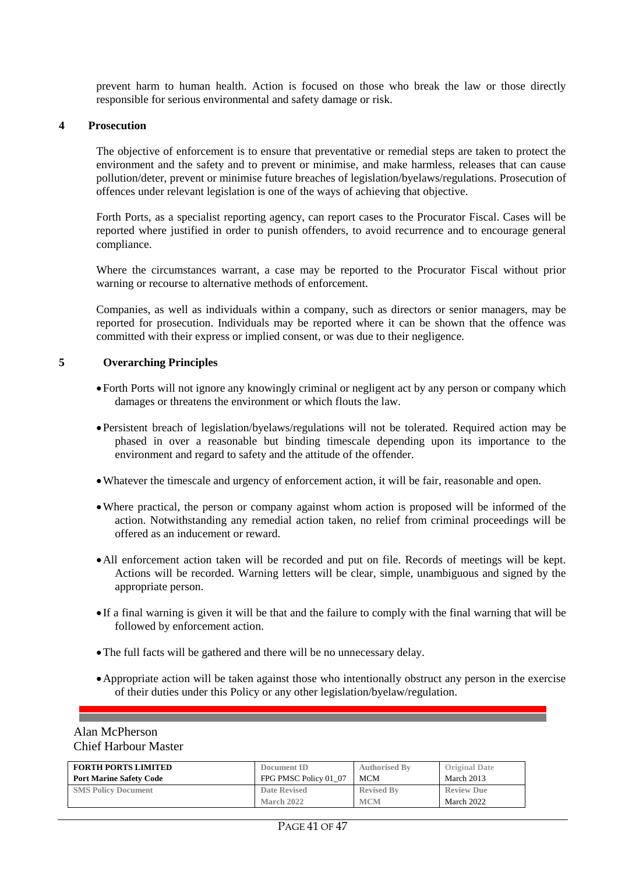prevent harm to human health. Action is focused on those who break the law or those directly responsible for serious environmental and safety damage or risk.

#### **4 Prosecution**

The objective of enforcement is to ensure that preventative or remedial steps are taken to protect the environment and the safety and to prevent or minimise, and make harmless, releases that can cause pollution/deter, prevent or minimise future breaches of legislation/byelaws/regulations. Prosecution of offences under relevant legislation is one of the ways of achieving that objective.

Forth Ports, as a specialist reporting agency, can report cases to the Procurator Fiscal. Cases will be reported where justified in order to punish offenders, to avoid recurrence and to encourage general compliance.

Where the circumstances warrant, a case may be reported to the Procurator Fiscal without prior warning or recourse to alternative methods of enforcement.

Companies, as well as individuals within a company, such as directors or senior managers, may be reported for prosecution. Individuals may be reported where it can be shown that the offence was committed with their express or implied consent, or was due to their negligence.

#### **5 Overarching Principles**

- Forth Ports will not ignore any knowingly criminal or negligent act by any person or company which damages or threatens the environment or which flouts the law.
- Persistent breach of legislation/byelaws/regulations will not be tolerated. Required action may be phased in over a reasonable but binding timescale depending upon its importance to the environment and regard to safety and the attitude of the offender.
- Whatever the timescale and urgency of enforcement action, it will be fair, reasonable and open.
- Where practical, the person or company against whom action is proposed will be informed of the action. Notwithstanding any remedial action taken, no relief from criminal proceedings will be offered as an inducement or reward.
- All enforcement action taken will be recorded and put on file. Records of meetings will be kept. Actions will be recorded. Warning letters will be clear, simple, unambiguous and signed by the appropriate person.
- If a final warning is given it will be that and the failure to comply with the final warning that will be followed by enforcement action.
- The full facts will be gathered and there will be no unnecessary delay.
- Appropriate action will be taken against those who intentionally obstruct any person in the exercise of their duties under this Policy or any other legislation/byelaw/regulation.

#### Alan McPherson Chief Harbour Master

| <b>FORTH PORTS LIMITED</b>     | Document ID           | <b>Authorised By</b> | <b>Original Date</b> |
|--------------------------------|-----------------------|----------------------|----------------------|
| <b>Port Marine Safety Code</b> | FPG PMSC Policy 01 07 | MCM                  | March 2013           |
| <b>SMS Policy Document</b>     | Date Revised          | <b>Revised By</b>    | <b>Review Due</b>    |
|                                | March 2022            | <b>MCM</b>           | March 2022           |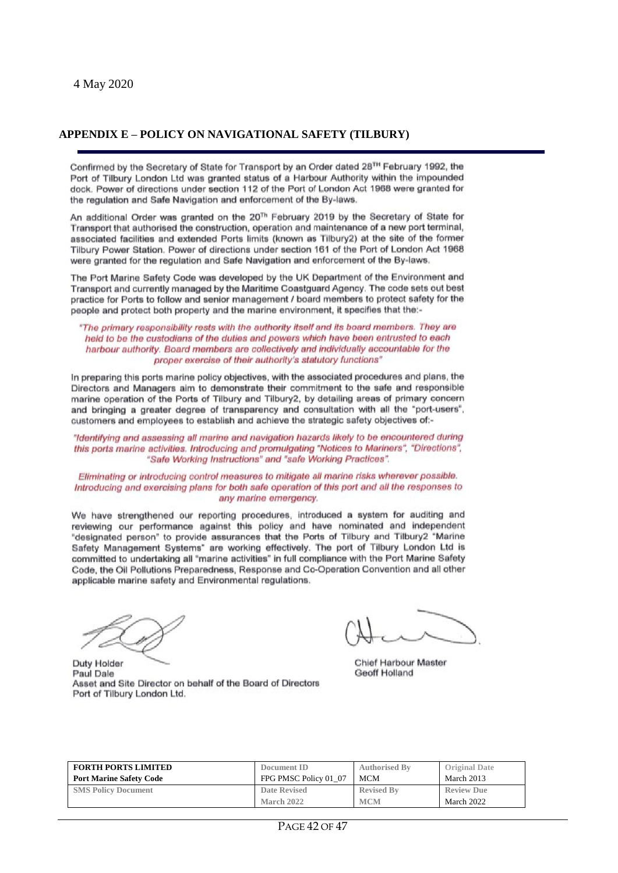#### **APPENDIX E – POLICY ON NAVIGATIONAL SAFETY (TILBURY)**

Confirmed by the Secretary of State for Transport by an Order dated 28<sup>TH</sup> February 1992, the Port of Tilbury London Ltd was granted status of a Harbour Authority within the impounded dock. Power of directions under section 112 of the Port of London Act 1968 were granted for the regulation and Safe Navigation and enforcement of the By-laws.

An additional Order was granted on the 20<sup>Th</sup> February 2019 by the Secretary of State for Transport that authorised the construction, operation and maintenance of a new port terminal, associated facilities and extended Ports limits (known as Tilbury2) at the site of the former Tilbury Power Station. Power of directions under section 161 of the Port of London Act 1968 were granted for the regulation and Safe Navigation and enforcement of the By-laws.

The Port Marine Safety Code was developed by the UK Department of the Environment and Transport and currently managed by the Maritime Coastguard Agency. The code sets out best practice for Ports to follow and senior management / board members to protect safety for the people and protect both property and the marine environment, it specifies that the:-

"The primary responsibility rests with the authority itself and its board members. They are held to be the custodians of the duties and powers which have been entrusted to each harbour authority. Board members are collectively and individually accountable for the proper exercise of their authority's statutory functions"

In preparing this ports marine policy objectives, with the associated procedures and plans, the Directors and Managers aim to demonstrate their commitment to the safe and responsible marine operation of the Ports of Tilbury and Tilbury2, by detailing areas of primary concern and bringing a greater degree of transparency and consultation with all the "port-users", customers and employees to establish and achieve the strategic safety objectives of:-

"Identifying and assessing all marine and navigation hazards likely to be encountered during this ports marine activities. Introducing and promulgating "Notices to Mariners", "Directions", "Safe Working Instructions" and "safe Working Practices".

Eliminating or introducing control measures to mitigate all marine risks wherever possible. Introducing and exercising plans for both safe operation of this port and all the responses to any marine emergency.

We have strengthened our reporting procedures, introduced a system for auditing and reviewing our performance against this policy and have nominated and independent "designated person" to provide assurances that the Ports of Tilbury and Tilbury2 "Marine Safety Management Systems" are working effectively. The port of Tilbury London Ltd is committed to undertaking all "marine activities" in full compliance with the Port Marine Safety Code, the Oil Pollutions Preparedness, Response and Co-Operation Convention and all other applicable marine safety and Environmental regulations.

Chief Harbour Master Geoff Holland

| Duty Holder                                                 |  |  |
|-------------------------------------------------------------|--|--|
| Paul Dale                                                   |  |  |
| Asset and Site Director on behalf of the Board of Directors |  |  |
| Port of Tilbury London Ltd.                                 |  |  |

| <b>FORTH PORTS LIMITED</b>     | Document ID           | <b>Authorised By</b> | <b>Original Date</b> |
|--------------------------------|-----------------------|----------------------|----------------------|
| <b>Port Marine Safety Code</b> | FPG PMSC Policy 01 07 | <b>MCM</b>           | March 2013           |
| <b>SMS Policy Document</b>     | Date Revised          | <b>Revised By</b>    | <b>Review Due</b>    |
|                                | March 2022            | <b>MCM</b>           | March 2022           |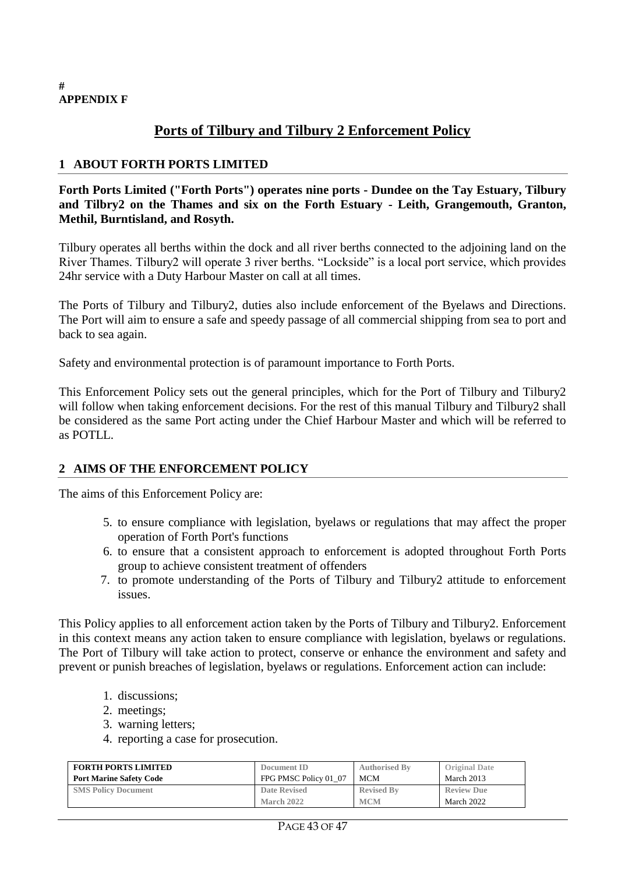#### **# APPENDIX F**

## **Ports of Tilbury and Tilbury 2 Enforcement Policy**

#### **1 ABOUT FORTH PORTS LIMITED**

**Forth Ports Limited ("Forth Ports") operates nine ports - Dundee on the Tay Estuary, Tilbury and Tilbry2 on the Thames and six on the Forth Estuary - Leith, Grangemouth, Granton, Methil, Burntisland, and Rosyth.** 

Tilbury operates all berths within the dock and all river berths connected to the adjoining land on the River Thames. Tilbury2 will operate 3 river berths. "Lockside" is a local port service, which provides 24hr service with a Duty Harbour Master on call at all times.

The Ports of Tilbury and Tilbury2, duties also include enforcement of the Byelaws and Directions. The Port will aim to ensure a safe and speedy passage of all commercial shipping from sea to port and back to sea again.

Safety and environmental protection is of paramount importance to Forth Ports.

This Enforcement Policy sets out the general principles, which for the Port of Tilbury and Tilbury2 will follow when taking enforcement decisions. For the rest of this manual Tilbury and Tilbury2 shall be considered as the same Port acting under the Chief Harbour Master and which will be referred to as POTLL.

#### **2 AIMS OF THE ENFORCEMENT POLICY**

The aims of this Enforcement Policy are:

- 5. to ensure compliance with legislation, byelaws or regulations that may affect the proper operation of Forth Port's functions
- 6. to ensure that a consistent approach to enforcement is adopted throughout Forth Ports group to achieve consistent treatment of offenders
- 7. to promote understanding of the Ports of Tilbury and Tilbury2 attitude to enforcement issues.

This Policy applies to all enforcement action taken by the Ports of Tilbury and Tilbury2. Enforcement in this context means any action taken to ensure compliance with legislation, byelaws or regulations. The Port of Tilbury will take action to protect, conserve or enhance the environment and safety and prevent or punish breaches of legislation, byelaws or regulations. Enforcement action can include:

- 1. discussions;
- 2. meetings;
- 3. warning letters;
- 4. reporting a case for prosecution.

| <b>FORTH PORTS LIMITED</b>     | Document ID           | <b>Authorised By</b> | <b>Original Date</b> |
|--------------------------------|-----------------------|----------------------|----------------------|
| <b>Port Marine Safety Code</b> | FPG PMSC Policy 01 07 | <b>MCM</b>           | March 2013           |
| <b>SMS Policy Document</b>     | Date Revised          | <b>Revised By</b>    | <b>Review Due</b>    |
|                                | <b>March 2022</b>     | <b>MCM</b>           | March 2022           |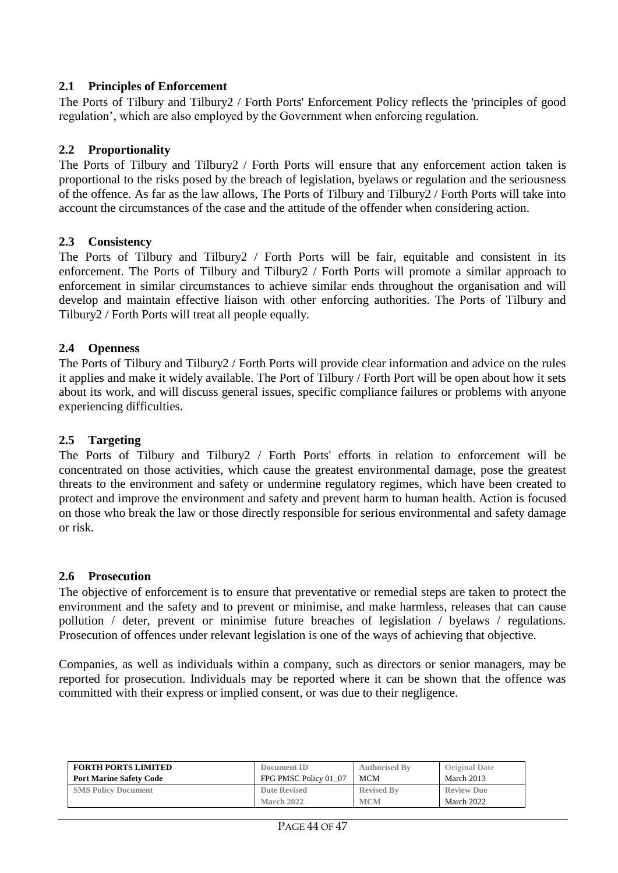#### **2.1 Principles of Enforcement**

The Ports of Tilbury and Tilbury2 / Forth Ports' Enforcement Policy reflects the 'principles of good regulation', which are also employed by the Government when enforcing regulation.

#### **2.2 Proportionality**

The Ports of Tilbury and Tilbury2 / Forth Ports will ensure that any enforcement action taken is proportional to the risks posed by the breach of legislation, byelaws or regulation and the seriousness of the offence. As far as the law allows, The Ports of Tilbury and Tilbury2 / Forth Ports will take into account the circumstances of the case and the attitude of the offender when considering action.

#### **2.3 Consistency**

The Ports of Tilbury and Tilbury2 / Forth Ports will be fair, equitable and consistent in its enforcement. The Ports of Tilbury and Tilbury2 / Forth Ports will promote a similar approach to enforcement in similar circumstances to achieve similar ends throughout the organisation and will develop and maintain effective liaison with other enforcing authorities. The Ports of Tilbury and Tilbury2 / Forth Ports will treat all people equally.

#### **2.4 Openness**

The Ports of Tilbury and Tilbury2 / Forth Ports will provide clear information and advice on the rules it applies and make it widely available. The Port of Tilbury / Forth Port will be open about how it sets about its work, and will discuss general issues, specific compliance failures or problems with anyone experiencing difficulties.

#### **2.5 Targeting**

The Ports of Tilbury and Tilbury2 / Forth Ports' efforts in relation to enforcement will be concentrated on those activities, which cause the greatest environmental damage, pose the greatest threats to the environment and safety or undermine regulatory regimes, which have been created to protect and improve the environment and safety and prevent harm to human health. Action is focused on those who break the law or those directly responsible for serious environmental and safety damage or risk.

#### **2.6 Prosecution**

The objective of enforcement is to ensure that preventative or remedial steps are taken to protect the environment and the safety and to prevent or minimise, and make harmless, releases that can cause pollution / deter, prevent or minimise future breaches of legislation / byelaws / regulations. Prosecution of offences under relevant legislation is one of the ways of achieving that objective.

Companies, as well as individuals within a company, such as directors or senior managers, may be reported for prosecution. Individuals may be reported where it can be shown that the offence was committed with their express or implied consent, or was due to their negligence.

| <b>FORTH PORTS LIMITED</b>     | Document ID           | <b>Authorised By</b> | <b>Original Date</b> |
|--------------------------------|-----------------------|----------------------|----------------------|
| <b>Port Marine Safety Code</b> | FPG PMSC Policy 01 07 | <b>MCM</b>           | March 2013           |
| <b>SMS Policy Document</b>     | <b>Date Revised</b>   | <b>Revised By</b>    | <b>Review Due</b>    |
|                                | March 2022            | <b>MCM</b>           | March 2022           |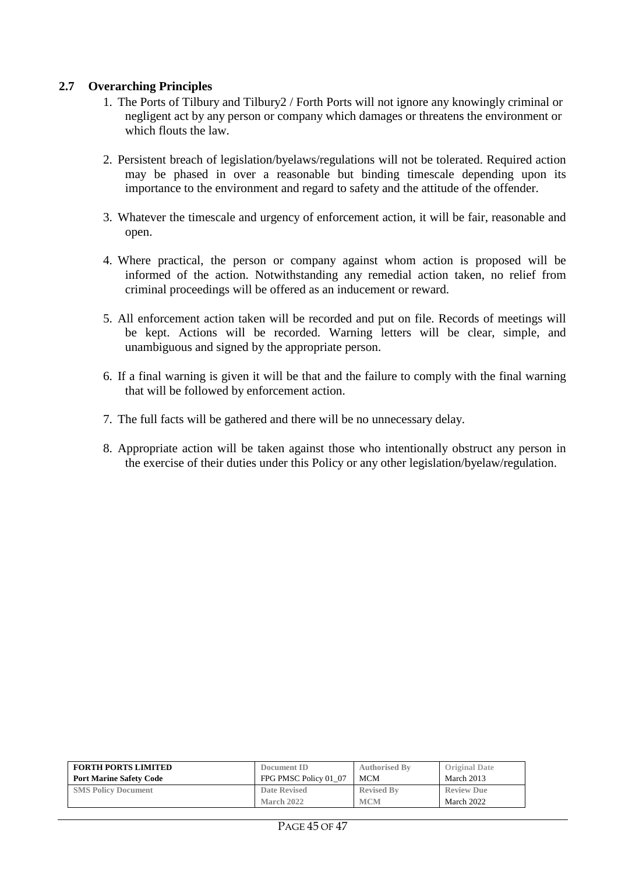#### **2.7 Overarching Principles**

- 1. The Ports of Tilbury and Tilbury2 / Forth Ports will not ignore any knowingly criminal or negligent act by any person or company which damages or threatens the environment or which flouts the law.
- 2. Persistent breach of legislation/byelaws/regulations will not be tolerated. Required action may be phased in over a reasonable but binding timescale depending upon its importance to the environment and regard to safety and the attitude of the offender.
- 3. Whatever the timescale and urgency of enforcement action, it will be fair, reasonable and open.
- 4. Where practical, the person or company against whom action is proposed will be informed of the action. Notwithstanding any remedial action taken, no relief from criminal proceedings will be offered as an inducement or reward.
- 5. All enforcement action taken will be recorded and put on file. Records of meetings will be kept. Actions will be recorded. Warning letters will be clear, simple, and unambiguous and signed by the appropriate person.
- 6. If a final warning is given it will be that and the failure to comply with the final warning that will be followed by enforcement action.
- 7. The full facts will be gathered and there will be no unnecessary delay.
- 8. Appropriate action will be taken against those who intentionally obstruct any person in the exercise of their duties under this Policy or any other legislation/byelaw/regulation.

| <b>FORTH PORTS LIMITED</b>     | Document ID           | <b>Authorised By</b> | <b>Original Date</b> |
|--------------------------------|-----------------------|----------------------|----------------------|
| <b>Port Marine Safety Code</b> | FPG PMSC Policy 01 07 | MCM                  | March 2013           |
| <b>SMS Policy Document</b>     | Date Revised          | <b>Revised By</b>    | <b>Review Due</b>    |
|                                | March 2022            | <b>MCM</b>           | March 2022           |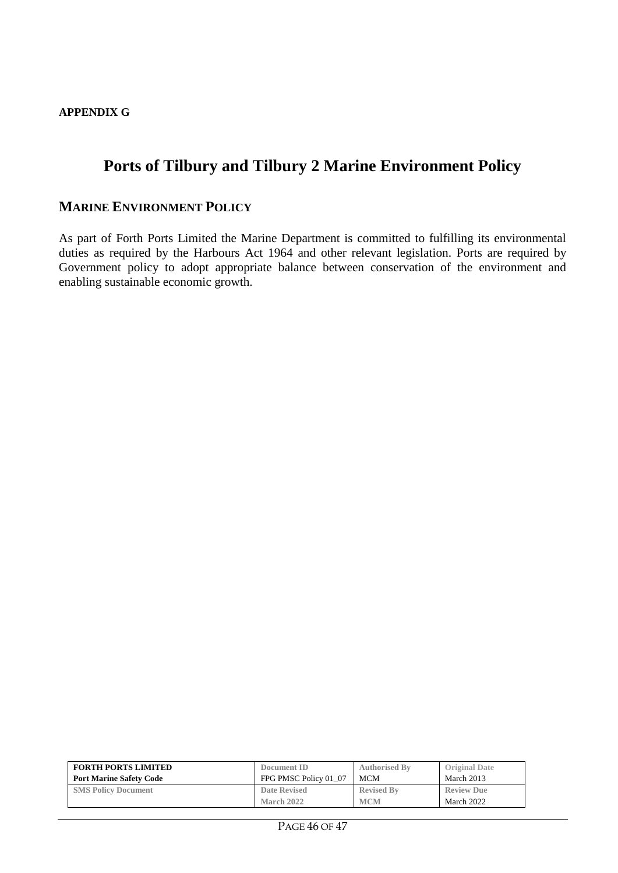#### **APPENDIX G**

## **Ports of Tilbury and Tilbury 2 Marine Environment Policy**

#### **MARINE ENVIRONMENT POLICY**

As part of Forth Ports Limited the Marine Department is committed to fulfilling its environmental duties as required by the Harbours Act 1964 and other relevant legislation. Ports are required by Government policy to adopt appropriate balance between conservation of the environment and enabling sustainable economic growth.

| <b>FORTH PORTS LIMITED</b>     | Document ID           | <b>Authorised By</b> | <b>Original Date</b> |
|--------------------------------|-----------------------|----------------------|----------------------|
| <b>Port Marine Safety Code</b> | FPG PMSC Policy 01 07 | <b>MCM</b>           | March 2013           |
| <b>SMS Policy Document</b>     | <b>Date Revised</b>   | <b>Revised By</b>    | <b>Review Due</b>    |
|                                | March 2022            | <b>MCM</b>           | March 2022           |